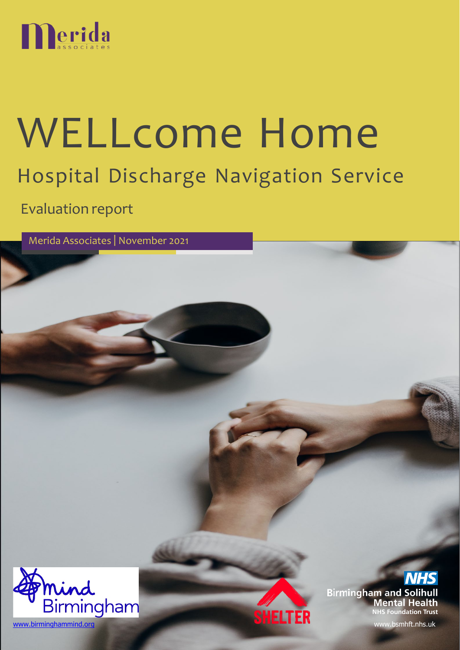

# WELLcome Home Hospital Discharge Navigation Service

Evaluation report

Merida Associates | November 2021



**Birmingham and Solihull Mental Health NHS Foundation Trust**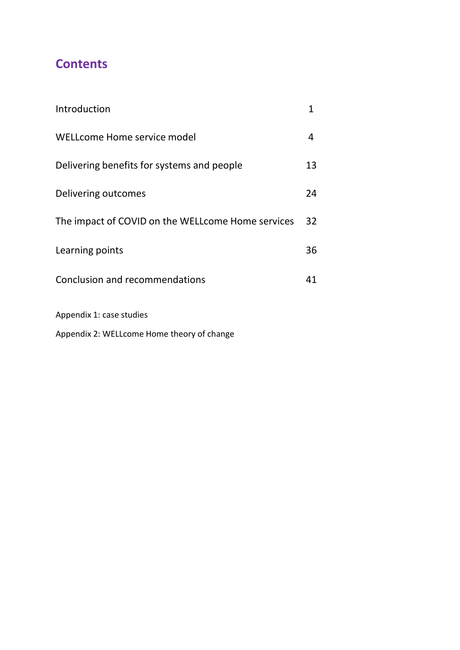# **Contents**

| Introduction                                       | 1  |
|----------------------------------------------------|----|
| WELLcome Home service model                        | 4  |
| Delivering benefits for systems and people         | 13 |
| Delivering outcomes                                | 24 |
| The impact of COVID on the WELL come Home services | 32 |
| Learning points                                    | 36 |
| Conclusion and recommendations                     | 41 |
| Appendix 1: case studies                           |    |

Appendix 2: WELLcome Home theory of change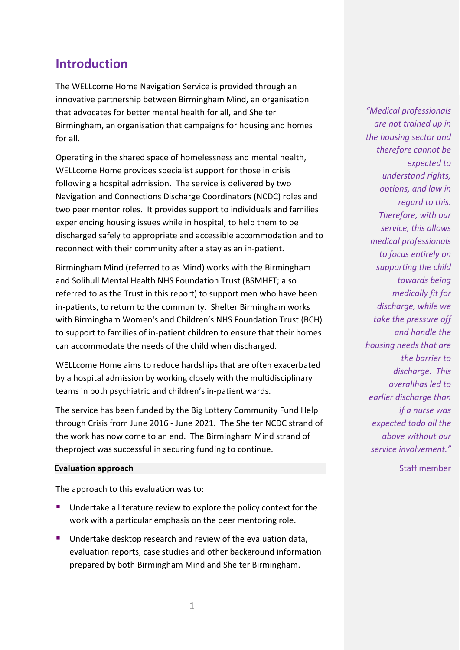# <span id="page-2-0"></span>**Introduction**

The WELLcome Home Navigation Service is provided through an innovative partnership between Birmingham Mind, an organisation that advocates for better mental health for all, and Shelter Birmingham, an organisation that campaigns for housing and homes for all.

Operating in the shared space of homelessness and mental health, WELLcome Home provides specialist support for those in crisis following a hospital admission. The service is delivered by two Navigation and Connections Discharge Coordinators (NCDC) roles and two peer mentor roles. It provides support to individuals and families experiencing housing issues while in hospital, to help them to be discharged safely to appropriate and accessible accommodation and to reconnect with their community after a stay as an in-patient.

Birmingham Mind (referred to as Mind) works with the Birmingham and Solihull Mental Health NHS Foundation Trust (BSMHFT; also referred to as the Trust in this report) to support men who have been in-patients, to return to the community. Shelter Birmingham works with Birmingham Women's and Children's NHS Foundation Trust (BCH) to support to families of in-patient children to ensure that their homes can accommodate the needs of the child when discharged.

WELLcome Home aims to reduce hardships that are often exacerbated by a hospital admission by working closely with the multidisciplinary teams in both psychiatric and children's in-patient wards.

The service has been funded by the Big Lottery Community Fund Help through Crisis from June 2016 - June 2021. The Shelter NCDC strand of the work has now come to an end. The Birmingham Mind strand of theproject was successful in securing funding to continue.

#### **Evaluation approach**

The approach to this evaluation was to:

- **Undertake a literature review to explore the policy context for the** work with a particular emphasis on the peer mentoring role.
- **Undertake desktop research and review of the evaluation data,** evaluation reports, case studies and other background information prepared by both Birmingham Mind and Shelter Birmingham.

*"Medical professionals are not trained up in the housing sector and therefore cannot be expected to understand rights, options, and law in regard to this. Therefore, with our service, this allows medical professionals to focus entirely on supporting the child towards being medically fit for discharge, while we take the pressure off and handle the housing needs that are the barrier to discharge. This overallhas led to earlier discharge than if a nurse was expected todo all the above without our service involvement."*

Staff member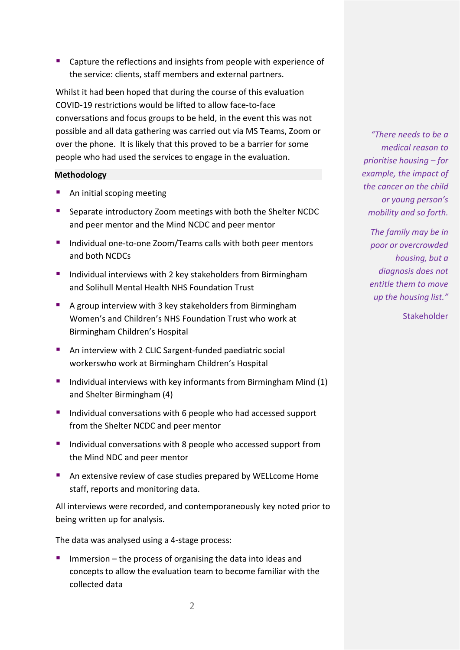■ Capture the reflections and insights from people with experience of the service: clients, staff members and external partners.

Whilst it had been hoped that during the course of this evaluation COVID-19 restrictions would be lifted to allow face-to-face conversations and focus groups to be held, in the event this was not possible and all data gathering was carried out via MS Teams, Zoom or over the phone. It is likely that this proved to be a barrier for some people who had used the services to engage in the evaluation.

#### **Methodology**

- An initial scoping meeting
- Separate introductory Zoom meetings with both the Shelter NCDC and peer mentor and the Mind NCDC and peer mentor
- **Individual one-to-one Zoom/Teams calls with both peer mentors** and both NCDCs
- **Individual interviews with 2 key stakeholders from Birmingham** and Solihull Mental Health NHS Foundation Trust
- A group interview with 3 key stakeholders from Birmingham Women's and Children's NHS Foundation Trust who work at Birmingham Children's Hospital
- An interview with 2 CLIC Sargent-funded paediatric social workerswho work at Birmingham Children's Hospital
- Individual interviews with key informants from Birmingham Mind  $(1)$ and Shelter Birmingham (4)
- Individual conversations with 6 people who had accessed support from the Shelter NCDC and peer mentor
- **Individual conversations with 8 people who accessed support from** the Mind NDC and peer mentor
- An extensive review of case studies prepared by WELLcome Home staff, reports and monitoring data.

All interviews were recorded, and contemporaneously key noted prior to being written up for analysis.

The data was analysed using a 4-stage process:

 Immersion – the process of organising the data into ideas and concepts to allow the evaluation team to become familiar with the collected data

*"There needs to be a medical reason to prioritise housing – for example, the impact of the cancer on the child or young person's mobility and so forth.*

*The family may be in poor or overcrowded housing, but a diagnosis does not entitle them to move up the housing list."*

Stakeholder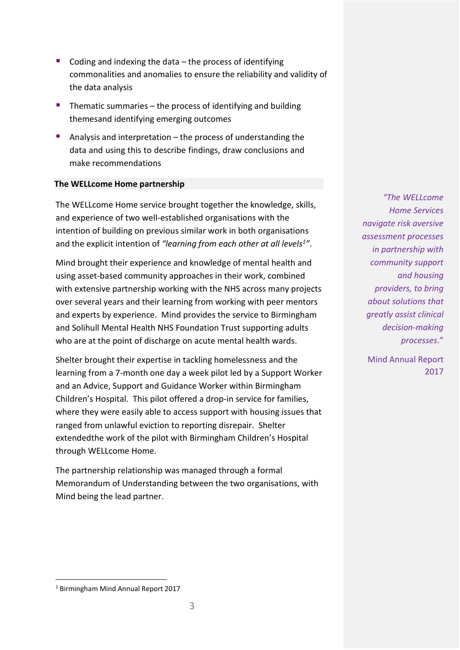- Coding and indexing the data  $-$  the process of identifying commonalities and anomalies to ensure the reliability and validity of the data analysis
- $\blacksquare$  Thematic summaries the process of identifying and building themesand identifying emerging outcomes
- Analysis and interpretation  $-$  the process of understanding the data and using this to describe findings, draw conclusions and make recommendations

#### **The WELLcome Home partnership**

The WELLcome Home service brought together the knowledge, skills, and experience of two well-established organisations with the intention of building on previous similar work in both organisations and the explicit intention of *"learning from each other at all levels1"*.

Mind brought their experience and knowledge of mental health and using asset-based community approaches in their work, combined with extensive partnership working with the NHS across many projects over several years and their learning from working with peer mentors and experts by experience. Mind provides the service to Birmingham and Solihull Mental Health NHS Foundation Trust supporting adults who are at the point of discharge on acute mental health wards.

Shelter brought their expertise in tackling homelessness and the learning from a 7-month one day a week pilot led by a Support Worker and an Advice, Support and Guidance Worker within Birmingham Children's Hospital. This pilot offered a drop-in service for families, where they were easily able to access support with housing issues that ranged from unlawful eviction to reporting disrepair. Shelter extendedthe work of the pilot with Birmingham Children's Hospital through WELLcome Home.

The partnership relationship was managed through a formal Memorandum of Understanding between the two organisations, with Mind being the lead partner.

*"The WELLcome Home Services navigate risk aversive assessment processes in partnership with community support and housing providers, to bring about solutions that greatly assist clinical decision-making processes*."

Mind Annual Report 2017

<sup>1</sup> Birmingham Mind Annual Report 2017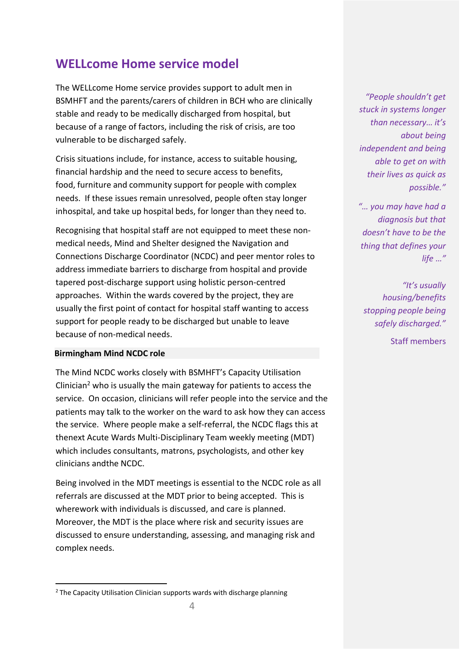# <span id="page-5-0"></span>**WELLcome Home service model**

The WELLcome Home service provides support to adult men in BSMHFT and the parents/carers of children in BCH who are clinically stable and ready to be medically discharged from hospital, but because of a range of factors, including the risk of crisis, are too vulnerable to be discharged safely.

Crisis situations include, for instance, access to suitable housing, financial hardship and the need to secure access to benefits, food, furniture and community support for people with complex needs. If these issues remain unresolved, people often stay longer inhospital, and take up hospital beds, for longer than they need to.

Recognising that hospital staff are not equipped to meet these nonmedical needs, Mind and Shelter designed the Navigation and Connections Discharge Coordinator (NCDC) and peer mentor roles to address immediate barriers to discharge from hospital and provide tapered post-discharge support using holistic person-centred approaches. Within the wards covered by the project, they are usually the first point of contact for hospital staff wanting to access support for people ready to be discharged but unable to leave because of non-medical needs.

#### **Birmingham Mind NCDC role**

The Mind NCDC works closely with BSMHFT's Capacity Utilisation Clinician<sup>2</sup> who is usually the main gateway for patients to access the service. On occasion, clinicians will refer people into the service and the patients may talk to the worker on the ward to ask how they can access the service. Where people make a self-referral, the NCDC flags this at thenext Acute Wards Multi-Disciplinary Team weekly meeting (MDT) which includes consultants, matrons, psychologists, and other key clinicians andthe NCDC.

Being involved in the MDT meetings is essential to the NCDC role as all referrals are discussed at the MDT prior to being accepted. This is wherework with individuals is discussed, and care is planned. Moreover, the MDT is the place where risk and security issues are discussed to ensure understanding, assessing, and managing risk and complex needs.

*"People shouldn't get stuck in systems longer than necessary… it's about being independent and being able to get on with their lives as quick as possible."*

*"… you may have had a diagnosis but that doesn't have to be the thing that defines your life …"*

*"It's usually housing/benefits stopping people being safely discharged."*

Staff members

 $2$  The Capacity Utilisation Clinician supports wards with discharge planning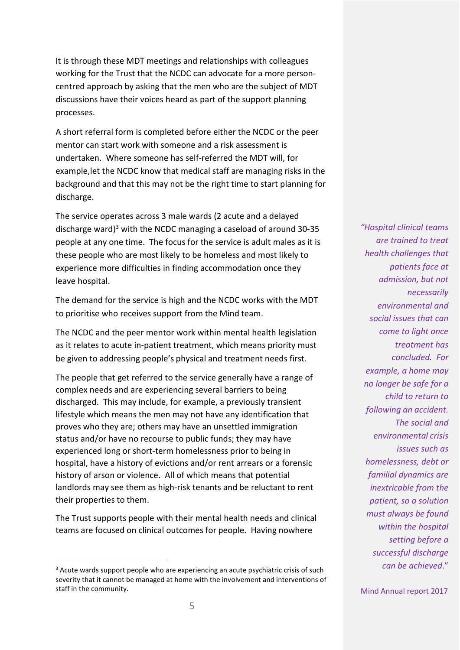It is through these MDT meetings and relationships with colleagues working for the Trust that the NCDC can advocate for a more personcentred approach by asking that the men who are the subject of MDT discussions have their voices heard as part of the support planning processes.

A short referral form is completed before either the NCDC or the peer mentor can start work with someone and a risk assessment is undertaken. Where someone has self-referred the MDT will, for example,let the NCDC know that medical staff are managing risks in the background and that this may not be the right time to start planning for discharge.

The service operates across 3 male wards (2 acute and a delayed discharge ward) $3$  with the NCDC managing a caseload of around 30-35 people at any one time. The focus for the service is adult males as it is these people who are most likely to be homeless and most likely to experience more difficulties in finding accommodation once they leave hospital.

The demand for the service is high and the NCDC works with the MDT to prioritise who receives support from the Mind team.

The NCDC and the peer mentor work within mental health legislation as it relates to acute in-patient treatment, which means priority must be given to addressing people's physical and treatment needs first.

The people that get referred to the service generally have a range of complex needs and are experiencing several barriers to being discharged. This may include, for example, a previously transient lifestyle which means the men may not have any identification that proves who they are; others may have an unsettled immigration status and/or have no recourse to public funds; they may have experienced long or short-term homelessness prior to being in hospital, have a history of evictions and/or rent arrears or a forensic history of arson or violence. All of which means that potential landlords may see them as high-risk tenants and be reluctant to rent their properties to them.

The Trust supports people with their mental health needs and clinical teams are focused on clinical outcomes for people. Having nowhere

*"Hospital clinical teams are trained to treat health challenges that patients face at admission, but not necessarily environmental and social issues that can come to light once treatment has concluded. For example, a home may no longer be safe for a child to return to following an accident. The social and environmental crisis issues such as homelessness, debt or familial dynamics are inextricable from the patient, so a solution must always be found within the hospital setting before a successful discharge can be achieved*."

<sup>&</sup>lt;sup>3</sup> Acute wards support people who are experiencing an acute psychiatric crisis of such severity that it cannot be managed at home with the involvement and interventions of staff in the community.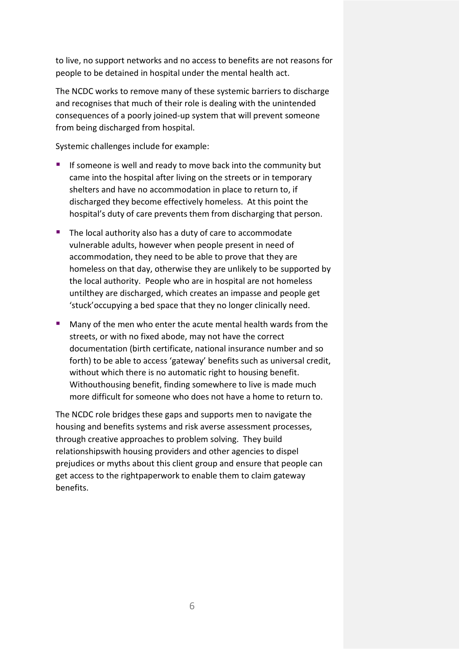to live, no support networks and no access to benefits are not reasons for people to be detained in hospital under the mental health act.

The NCDC works to remove many of these systemic barriers to discharge and recognises that much of their role is dealing with the unintended consequences of a poorly joined-up system that will prevent someone from being discharged from hospital.

Systemic challenges include for example:

- If someone is well and ready to move back into the community but came into the hospital after living on the streets or in temporary shelters and have no accommodation in place to return to, if discharged they become effectively homeless. At this point the hospital's duty of care prevents them from discharging that person.
- The local authority also has a duty of care to accommodate vulnerable adults, however when people present in need of accommodation, they need to be able to prove that they are homeless on that day, otherwise they are unlikely to be supported by the local authority. People who are in hospital are not homeless untilthey are discharged, which creates an impasse and people get 'stuck'occupying a bed space that they no longer clinically need.
- **Many of the men who enter the acute mental health wards from the** streets, or with no fixed abode, may not have the correct documentation (birth certificate, national insurance number and so forth) to be able to access 'gateway' benefits such as universal credit, without which there is no automatic right to housing benefit. Withouthousing benefit, finding somewhere to live is made much more difficult for someone who does not have a home to return to.

The NCDC role bridges these gaps and supports men to navigate the housing and benefits systems and risk averse assessment processes, through creative approaches to problem solving. They build relationshipswith housing providers and other agencies to dispel prejudices or myths about this client group and ensure that people can get access to the rightpaperwork to enable them to claim gateway benefits.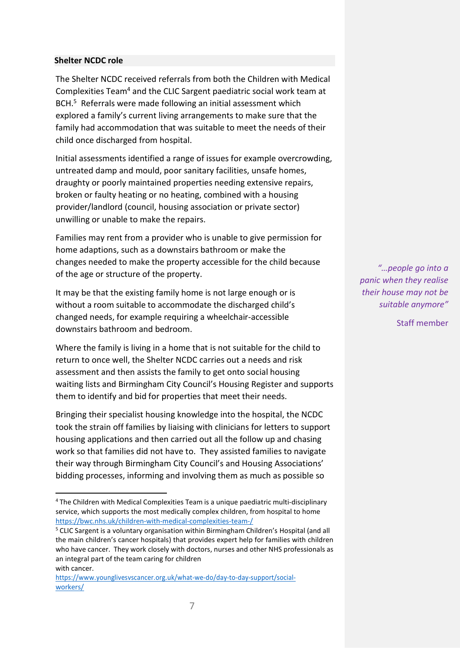#### **Shelter NCDC role**

The Shelter NCDC received referrals from both the Children with Medical Complexities Team4 and the CLIC Sargent paediatric social work team at BCH.<sup>5</sup> Referrals were made following an initial assessment which explored a family's current living arrangements to make sure that the family had accommodation that was suitable to meet the needs of their child once discharged from hospital.

Initial assessments identified a range of issues for example overcrowding, untreated damp and mould, poor sanitary facilities, unsafe homes, draughty or poorly maintained properties needing extensive repairs, broken or faulty heating or no heating, combined with a housing provider/landlord (council, housing association or private sector) unwilling or unable to make the repairs.

Families may rent from a provider who is unable to give permission for home adaptions, such as a downstairs bathroom or make the changes needed to make the property accessible for the child because of the age or structure of the property.

It may be that the existing family home is not large enough or is without a room suitable to accommodate the discharged child's changed needs, for example requiring a wheelchair-accessible downstairs bathroom and bedroom.

Where the family is living in a home that is not suitable for the child to return to once well, the Shelter NCDC carries out a needs and risk assessment and then assists the family to get onto social housing waiting lists and Birmingham City Council's Housing Register and supports them to identify and bid for properties that meet their needs.

Bringing their specialist housing knowledge into the hospital, the NCDC took the strain off families by liaising with clinicians for letters to support housing applications and then carried out all the follow up and chasing work so that families did not have to. They assisted families to navigate their way through Birmingham City Council's and Housing Associations' bidding processes, informing and involving them as much as possible so

*"…people go into a panic when they realise their house may not be suitable anymore"*

Staff member

<sup>&</sup>lt;sup>4</sup> The Children with Medical Complexities Team is a unique paediatric multi-disciplinary service, which supports the most medically complex children, from hospital to home <https://bwc.nhs.uk/children-with-medical-complexities-team-/>

<sup>5</sup> CLIC Sargent is a voluntary organisation within Birmingham Children's Hospital (and all the main children's cancer hospitals) that provides expert help for families with children who have cancer. They work closely with doctors, nurses and other NHS professionals as an integral part of the team caring for children with cancer.

[https://www.younglivesvscancer.org.uk/what-we-do/day-to-day-support/social](https://www.younglivesvscancer.org.uk/what-we-do/day-to-day-support/social-workers/)[workers/](https://www.younglivesvscancer.org.uk/what-we-do/day-to-day-support/social-workers/)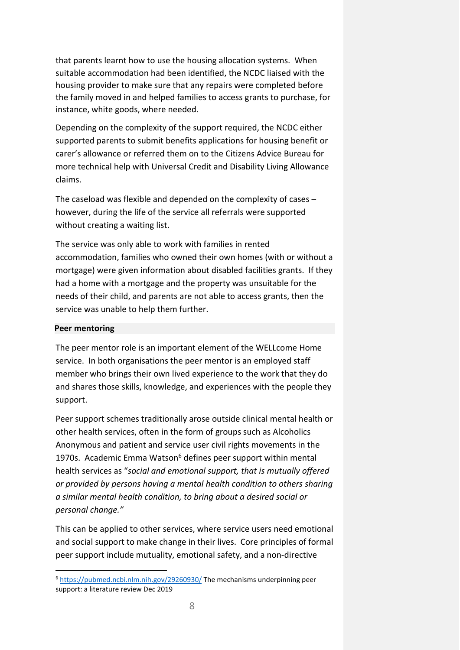that parents learnt how to use the housing allocation systems. When suitable accommodation had been identified, the NCDC liaised with the housing provider to make sure that any repairs were completed before the family moved in and helped families to access grants to purchase, for instance, white goods, where needed.

Depending on the complexity of the support required, the NCDC either supported parents to submit benefits applications for housing benefit or carer's allowance or referred them on to the Citizens Advice Bureau for more technical help with Universal Credit and Disability Living Allowance claims.

The caseload was flexible and depended on the complexity of cases – however, during the life of the service all referrals were supported without creating a waiting list.

The service was only able to work with families in rented accommodation, families who owned their own homes (with or without a mortgage) were given information about disabled facilities grants. If they had a home with a mortgage and the property was unsuitable for the needs of their child, and parents are not able to access grants, then the service was unable to help them further.

#### **Peer mentoring**

The peer mentor role is an important element of the WELLcome Home service. In both organisations the peer mentor is an employed staff member who brings their own lived experience to the work that they do and shares those skills, knowledge, and experiences with the people they support.

Peer support schemes traditionally arose outside clinical mental health or other health services, often in the form of groups such as Alcoholics Anonymous and patient and service user civil rights movements in the 1970s. Academic Emma Watson<sup>6</sup> defines peer support within mental health services as "*social and emotional support, that is mutually offered or provided by persons having a mental health condition to others sharing a similar mental health condition, to bring about a desired social or personal change."*

This can be applied to other services, where service users need emotional and social support to make change in their lives. Core principles of formal peer support include mutuality, emotional safety, and a non-directive

<sup>&</sup>lt;sup>6</sup> <https://pubmed.ncbi.nlm.nih.gov/29260930/> The mechanisms underpinning peer support: a literature review Dec 2019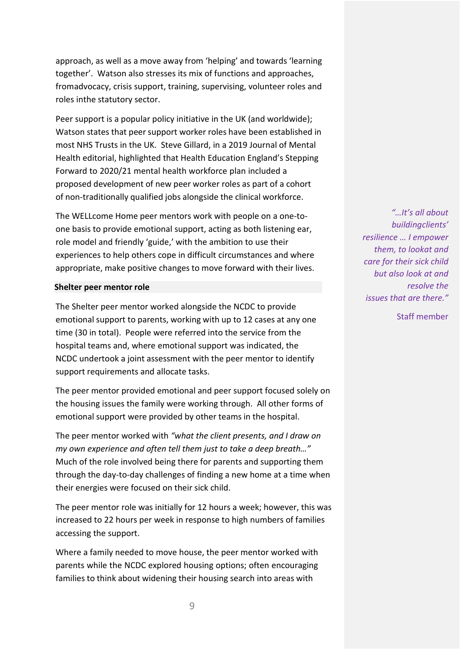approach, as well as a move away from 'helping' and towards 'learning together'. Watson also stresses its mix of functions and approaches, fromadvocacy, crisis support, training, supervising, volunteer roles and roles inthe statutory sector.

Peer support is a popular policy initiative in the UK (and worldwide); Watson states that peer support worker roles have been established in most NHS Trusts in the UK. Steve Gillard, in a 2019 Journal of Mental Health editorial, highlighted that Health Education England's Stepping Forward to 2020/21 mental health workforce plan included a proposed development of new peer worker roles as part of a cohort of non-traditionally qualified jobs alongside the clinical workforce.

The WELLcome Home peer mentors work with people on a one-toone basis to provide emotional support, acting as both listening ear, role model and friendly 'guide,' with the ambition to use their experiences to help others cope in difficult circumstances and where appropriate, make positive changes to move forward with their lives.

#### **Shelter peer mentor role**

The Shelter peer mentor worked alongside the NCDC to provide emotional support to parents, working with up to 12 cases at any one time (30 in total). People were referred into the service from the hospital teams and, where emotional support was indicated, the NCDC undertook a joint assessment with the peer mentor to identify support requirements and allocate tasks.

The peer mentor provided emotional and peer support focused solely on the housing issues the family were working through. All other forms of emotional support were provided by other teams in the hospital.

The peer mentor worked with *"what the client presents, and I draw on my own experience and often tell them just to take a deep breath…"* Much of the role involved being there for parents and supporting them through the day-to-day challenges of finding a new home at a time when their energies were focused on their sick child.

The peer mentor role was initially for 12 hours a week; however, this was increased to 22 hours per week in response to high numbers of families accessing the support.

Where a family needed to move house, the peer mentor worked with parents while the NCDC explored housing options; often encouraging families to think about widening their housing search into areas with

*"…It's all about buildingclients' resilience … I empower them, to lookat and care for their sick child but also look at and resolve the issues that are there."*

Staff member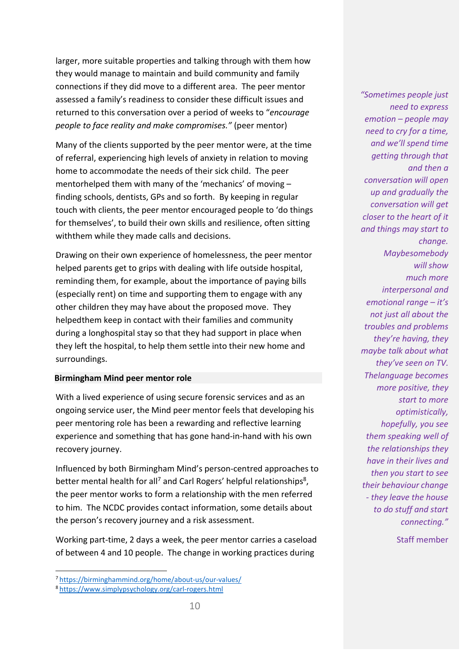larger, more suitable properties and talking through with them how they would manage to maintain and build community and family connections if they did move to a different area. The peer mentor assessed a family's readiness to consider these difficult issues and returned to this conversation over a period of weeks to "*encourage people to face reality and make compromises."* (peer mentor)

Many of the clients supported by the peer mentor were, at the time of referral, experiencing high levels of anxiety in relation to moving home to accommodate the needs of their sick child. The peer mentorhelped them with many of the 'mechanics' of moving – finding schools, dentists, GPs and so forth. By keeping in regular touch with clients, the peer mentor encouraged people to 'do things for themselves', to build their own skills and resilience, often sitting withthem while they made calls and decisions.

Drawing on their own experience of homelessness, the peer mentor helped parents get to grips with dealing with life outside hospital, reminding them, for example, about the importance of paying bills (especially rent) on time and supporting them to engage with any other children they may have about the proposed move. They helpedthem keep in contact with their families and community during a longhospital stay so that they had support in place when they left the hospital, to help them settle into their new home and surroundings.

#### **Birmingham Mind peer mentor role**

With a lived experience of using secure forensic services and as an ongoing service user, the Mind peer mentor feels that developing his peer mentoring role has been a rewarding and reflective learning experience and something that has gone hand-in-hand with his own recovery journey.

Influenced by both Birmingham Mind's person-centred approaches to better mental health for all<sup>7</sup> and Carl Rogers' helpful relationships<sup>8</sup>, the peer mentor works to form a relationship with the men referred to him. The NCDC provides contact information, some details about the person's recovery journey and a risk assessment.

Working part-time, 2 days a week, the peer mentor carries a caseload of between 4 and 10 people. The change in working practices during

*emotion – people may need to cry for a time, and we'll spend time getting through that and then a conversation will open up and gradually the conversation will get closer to the heart of it and things may start to change. Maybesomebody willshow much more interpersonal and emotional range – it's not just all about the troubles and problems they're having, they maybe talk about what they've seen on TV. Thelanguage becomes more positive, they start to more optimistically, hopefully, you see them speaking well of the relationships they have in their lives and then you start to see their behaviour change - they leave the house to do stuff and start*

*"Sometimes people just*

*need to express*

Staff member

*connecting."*

<sup>7</sup> <https://birminghammind.org/home/about-us/our-values/>

<sup>8</sup> <https://www.simplypsychology.org/carl-rogers.html>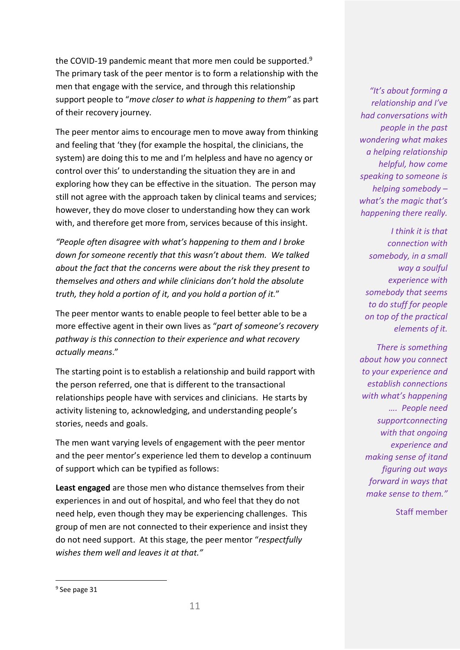the COVID-19 pandemic meant that more men could be supported.9 The primary task of the peer mentor is to form a relationship with the men that engage with the service, and through this relationship support people to "*move closer to what is happening to them"* as part of their recovery journey.

The peer mentor aims to encourage men to move away from thinking and feeling that 'they (for example the hospital, the clinicians, the system) are doing this to me and I'm helpless and have no agency or control over this' to understanding the situation they are in and exploring how they can be effective in the situation. The person may still not agree with the approach taken by clinical teams and services; however, they do move closer to understanding how they can work with, and therefore get more from, services because of this insight.

*"People often disagree with what's happening to them and I broke down for someone recently that this wasn't about them. We talked about the fact that the concerns were about the risk they present to themselves and others and while clinicians don't hold the absolute truth, they hold a portion of it, and you hold a portion of it.*"

The peer mentor wants to enable people to feel better able to be a more effective agent in their own lives as "*part of someone's recovery pathway is this connection to their experience and what recovery actually means*."

The starting point is to establish a relationship and build rapport with the person referred, one that is different to the transactional relationships people have with services and clinicians. He starts by activity listening to, acknowledging, and understanding people's stories, needs and goals.

The men want varying levels of engagement with the peer mentor and the peer mentor's experience led them to develop a continuum of support which can be typified as follows:

**Least engaged** are those men who distance themselves from their experiences in and out of hospital, and who feel that they do not need help, even though they may be experiencing challenges. This group of men are not connected to their experience and insist they do not need support. At this stage, the peer mentor "*respectfully wishes them well and leaves it at that."*

*"It's about forming a relationship and I've had conversations with people in the past wondering what makes a helping relationship helpful, how come speaking to someone is helping somebody – what's the magic that's happening there really.*

*I think it is that connection with somebody, in a small way a soulful experience with somebody that seems to do stuff for people on top of the practical elements of it.*

*There is something about how you connect to your experience and establish connections with what's happening …. People need supportconnecting with that ongoing experience and making sense of itand figuring out ways forward in ways that make sense to them."*

Staff member

<sup>&</sup>lt;sup>9</sup> See page 31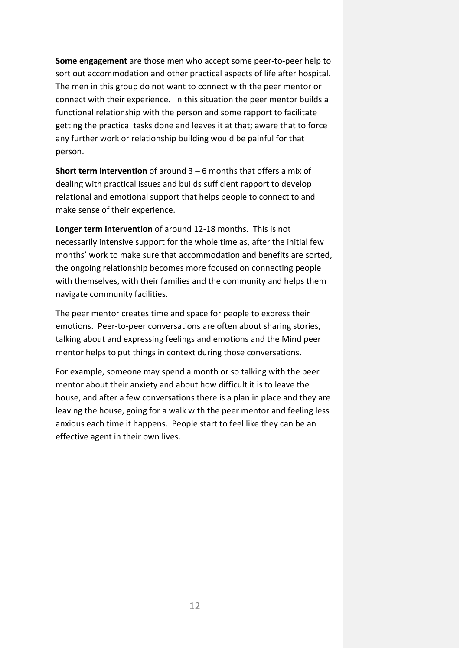**Some engagement** are those men who accept some peer-to-peer help to sort out accommodation and other practical aspects of life after hospital. The men in this group do not want to connect with the peer mentor or connect with their experience. In this situation the peer mentor builds a functional relationship with the person and some rapport to facilitate getting the practical tasks done and leaves it at that; aware that to force any further work or relationship building would be painful for that person.

**Short term intervention** of around 3 – 6 months that offers a mix of dealing with practical issues and builds sufficient rapport to develop relational and emotional support that helps people to connect to and make sense of their experience.

**Longer term intervention** of around 12-18 months. This is not necessarily intensive support for the whole time as, after the initial few months' work to make sure that accommodation and benefits are sorted, the ongoing relationship becomes more focused on connecting people with themselves, with their families and the community and helps them navigate community facilities.

The peer mentor creates time and space for people to express their emotions. Peer-to-peer conversations are often about sharing stories, talking about and expressing feelings and emotions and the Mind peer mentor helps to put things in context during those conversations.

For example, someone may spend a month or so talking with the peer mentor about their anxiety and about how difficult it is to leave the house, and after a few conversations there is a plan in place and they are leaving the house, going for a walk with the peer mentor and feeling less anxious each time it happens. People start to feel like they can be an effective agent in their own lives.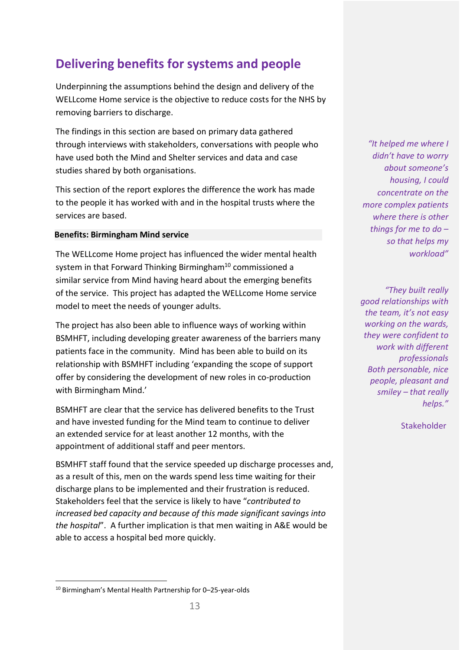# <span id="page-14-0"></span>**Delivering benefits for systems and people**

Underpinning the assumptions behind the design and delivery of the WELLcome Home service is the objective to reduce costs for the NHS by removing barriers to discharge.

The findings in this section are based on primary data gathered through interviews with stakeholders, conversations with people who have used both the Mind and Shelter services and data and case studies shared by both organisations.

This section of the report explores the difference the work has made to the people it has worked with and in the hospital trusts where the services are based.

#### **Benefits: Birmingham Mind service**

The WELLcome Home project has influenced the wider mental health system in that Forward Thinking Birmingham<sup>10</sup> commissioned a similar service from Mind having heard about the emerging benefits of the service. This project has adapted the WELLcome Home service model to meet the needs of younger adults.

The project has also been able to influence ways of working within BSMHFT, including developing greater awareness of the barriers many patients face in the community. Mind has been able to build on its relationship with BSMHFT including 'expanding the scope of support offer by considering the development of new roles in co-production with Birmingham Mind.'

BSMHFT are clear that the service has delivered benefits to the Trust and have invested funding for the Mind team to continue to deliver an extended service for at least another 12 months, with the appointment of additional staff and peer mentors.

BSMHFT staff found that the service speeded up discharge processes and, as a result of this, men on the wards spend less time waiting for their discharge plans to be implemented and their frustration is reduced. Stakeholders feel that the service is likely to have "*contributed to increased bed capacity and because of this made significant savings into the hospital*". A further implication is that men waiting in A&E would be able to access a hospital bed more quickly.

*"It helped me where I didn't have to worry about someone's housing, I could concentrate on the more complex patients where there is other things for me to do – so that helps my workload"*

*"They built really good relationships with the team, it's not easy working on the wards, they were confident to work with different professionals Both personable, nice people, pleasant and smiley – that really helps."*

**Stakeholder** 

<sup>10</sup> Birmingham's Mental Health Partnership for 0–25-year-olds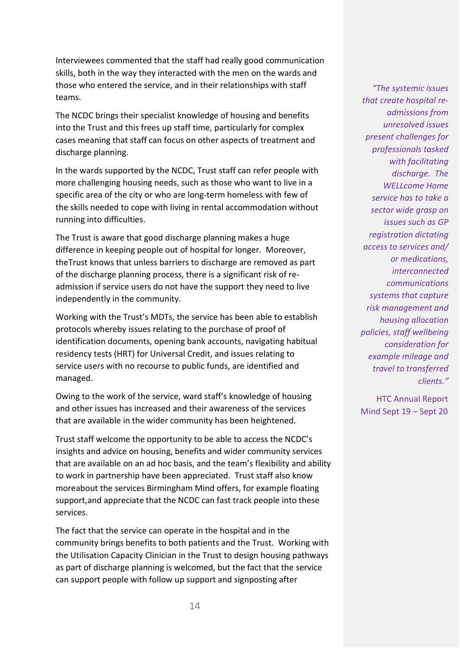Interviewees commented that the staff had really good communication skills, both in the way they interacted with the men on the wards and those who entered the service, and in their relationships with staff teams.

The NCDC brings their specialist knowledge of housing and benefits into the Trust and this frees up staff time, particularly for complex cases meaning that staff can focus on other aspects of treatment and discharge planning.

In the wards supported by the NCDC, Trust staff can refer people with more challenging housing needs, such as those who want to live in a specific area of the city or who are long-term homeless with few of the skills needed to cope with living in rental accommodation without running into difficulties.

The Trust is aware that good discharge planning makes a huge difference in keeping people out of hospital for longer. Moreover, theTrust knows that unless barriers to discharge are removed as part of the discharge planning process, there is a significant risk of readmission if service users do not have the support they need to live independently in the community.

Working with the Trust's MDTs, the service has been able to establish protocols whereby issues relating to the purchase of proof of identification documents, opening bank accounts, navigating habitual residency tests (HRT) for Universal Credit, and issues relating to service users with no recourse to public funds, are identified and managed.

Owing to the work of the service, ward staff's knowledge of housing and other issues has increased and their awareness of the services that are available in the wider community has been heightened.

Trust staff welcome the opportunity to be able to access the NCDC's insights and advice on housing, benefits and wider community services that are available on an ad hoc basis, and the team's flexibility and ability to work in partnership have been appreciated. Trust staff also know moreabout the services Birmingham Mind offers, for example floating support,and appreciate that the NCDC can fast track people into these services.

The fact that the service can operate in the hospital and in the community brings benefits to both patients and the Trust. Working with the Utilisation Capacity Clinician in the Trust to design housing pathways as part of discharge planning is welcomed, but the fact that the service can support people with follow up support and signposting after

*"The systemic issues that create hospital readmissions from unresolved issues present challenges for professionals tasked with facilitating discharge. The WELLcome Home service has to take a sector wide grasp on issues such as GP registration dictating access to services and/ or medications, interconnected communications systems that capture risk management and housing allocation policies, staff wellbeing consideration for example mileage and travel to transferred clients."*

HTC Annual Report Mind Sept 19 – Sept 20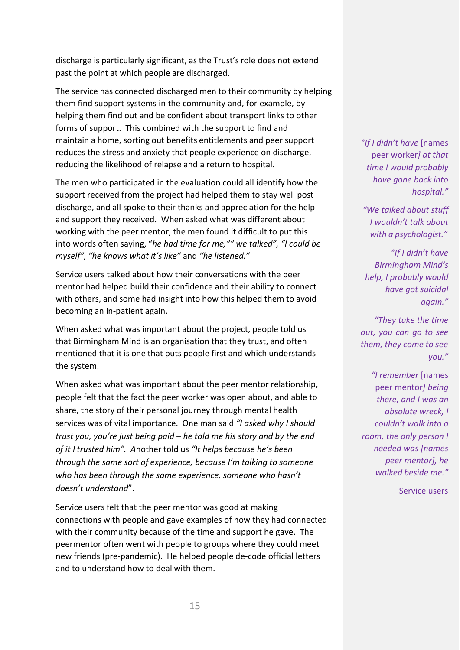discharge is particularly significant, as the Trust's role does not extend past the point at which people are discharged.

The service has connected discharged men to their community by helping them find support systems in the community and, for example, by helping them find out and be confident about transport links to other forms of support. This combined with the support to find and maintain a home, sorting out benefits entitlements and peer support reduces the stress and anxiety that people experience on discharge, reducing the likelihood of relapse and a return to hospital.

The men who participated in the evaluation could all identify how the support received from the project had helped them to stay well post discharge, and all spoke to their thanks and appreciation for the help and support they received. When asked what was different about working with the peer mentor, the men found it difficult to put this into words often saying, "*he had time for me,"" we talked", "I could be myself", "he knows what it's like"* and *"he listened."*

Service users talked about how their conversations with the peer mentor had helped build their confidence and their ability to connect with others, and some had insight into how this helped them to avoid becoming an in-patient again.

When asked what was important about the project, people told us that Birmingham Mind is an organisation that they trust, and often mentioned that it is one that puts people first and which understands the system.

When asked what was important about the peer mentor relationship, people felt that the fact the peer worker was open about, and able to share, the story of their personal journey through mental health services was of vital importance. One man said *"I asked why I should trust you, you're just being paid – he told me his story and by the end of it I trusted him". A*nother told us *"It helps because he's been through the same sort of experience, because I'm talking to someone who has been through the same experience, someone who hasn't doesn't understand*".

Service users felt that the peer mentor was good at making connections with people and gave examples of how they had connected with their community because of the time and support he gave. The peermentor often went with people to groups where they could meet new friends (pre-pandemic). He helped people de-code official letters and to understand how to deal with them.

*"If I didn't have* [names peer worker*] at that time I would probably have gone back into hospital."*

*"We talked about stuff I wouldn't talk about with a psychologist."*

*"If I didn't have Birmingham Mind's help, I probably would have got suicidal again."*

*"They take the time out, you can go to see them, they come to see you."*

*"I remember* [names peer mentor*] being there, and I was an absolute wreck, I couldn't walk into a room, the only person I needed was [names peer mentor], he walked beside me."*

Service users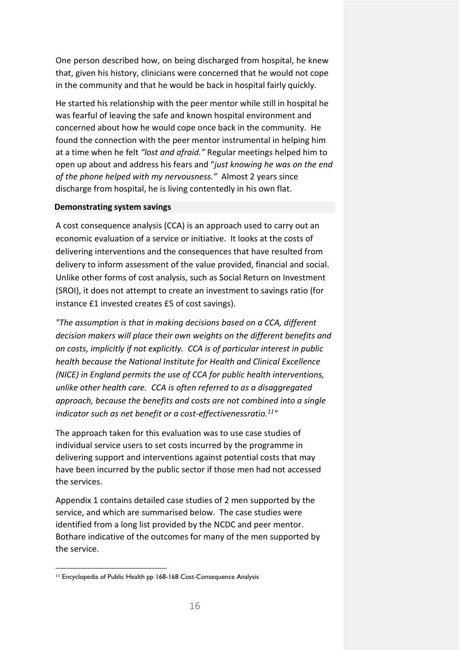One person described how, on being discharged from hospital, he knew that, given his history, clinicians were concerned that he would not cope in the community and that he would be back in hospital fairly quickly.

He started his relationship with the peer mentor while still in hospital he was fearful of leaving the safe and known hospital environment and concerned about how he would cope once back in the community. He found the connection with the peer mentor instrumental in helping him at a time when he felt *"lost and afraid."* Regular meetings helped him to open up about and address his fears and "*just knowing he was on the end of the phone helped with my nervousness."* Almost 2 years since discharge from hospital, he is living contentedly in his own flat.

#### **Demonstrating system savings**

A cost consequence analysis (CCA) is an approach used to carry out an economic evaluation of a service or initiative. It looks at the costs of delivering interventions and the consequences that have resulted from delivery to inform assessment of the value provided, financial and social. Unlike other forms of cost analysis, such as Social Return on Investment (SROI), it does not attempt to create an investment to savings ratio (for instance £1 invested creates £5 of cost savings).

*"The assumption is that in making decisions based on a CCA, different decision makers will place their own weights on the different benefits and on costs, implicitly if not explicitly. CCA is of particular interest in public health because the National Institute for Health and Clinical Excellence (NICE) in England permits the use of CCA for public health interventions, unlike other health care. CCA is often referred to as a disaggregated approach, because the benefits and costs are not combined into a single indicator such as net benefit or a cost-effectivenessratio.11"*

The approach taken for this evaluation was to use case studies of individual service users to set costs incurred by the programme in delivering support and interventions against potential costs that may have been incurred by the public sector if those men had not accessed the services.

Appendix 1 contains detailed case studies of 2 men supported by the service, and which are summarised below. The case studies were identified from a long list provided by the NCDC and peer mentor. Bothare indicative of the outcomes for many of the men supported by the service.

<sup>11</sup> Encyclopedia of Public Health pp 168-168 Cost-Consequence Analysis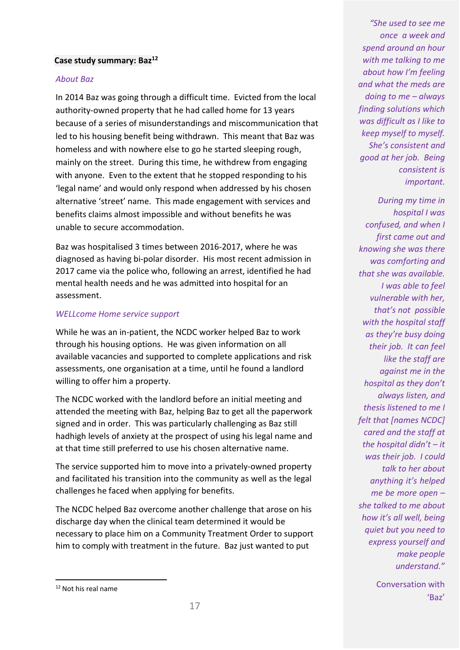#### **Case study summary: Baz12**

#### *About Baz*

In 2014 Baz was going through a difficult time. Evicted from the local authority-owned property that he had called home for 13 years because of a series of misunderstandings and miscommunication that led to his housing benefit being withdrawn. This meant that Baz was homeless and with nowhere else to go he started sleeping rough, mainly on the street. During this time, he withdrew from engaging with anyone. Even to the extent that he stopped responding to his 'legal name' and would only respond when addressed by his chosen alternative 'street' name. This made engagement with services and benefits claims almost impossible and without benefits he was unable to secure accommodation.

Baz was hospitalised 3 times between 2016-2017, where he was diagnosed as having bi-polar disorder. His most recent admission in 2017 came via the police who, following an arrest, identified he had mental health needs and he was admitted into hospital for an assessment.

#### *WELLcome Home service support*

While he was an in-patient, the NCDC worker helped Baz to work through his housing options. He was given information on all available vacancies and supported to complete applications and risk assessments, one organisation at a time, until he found a landlord willing to offer him a property.

The NCDC worked with the landlord before an initial meeting and attended the meeting with Baz, helping Baz to get all the paperwork signed and in order. This was particularly challenging as Baz still hadhigh levels of anxiety at the prospect of using his legal name and at that time still preferred to use his chosen alternative name.

The service supported him to move into a privately-owned property and facilitated his transition into the community as well as the legal challenges he faced when applying for benefits.

The NCDC helped Baz overcome another challenge that arose on his discharge day when the clinical team determined it would be necessary to place him on a Community Treatment Order to support him to comply with treatment in the future. Baz just wanted to put

*"She used to see me once a week and spend around an hour with me talking to me about how I'm feeling and what the meds are doing to me – always finding solutions which was difficult as I like to keep myself to myself. She's consistent and good at her job. Being consistent is important.*

*During my time in hospital I was confused, and when I first came out and knowing she was there was comforting and that she was available. I was able to feel vulnerable with her, that's not possible with the hospital staff as they're busy doing their job. It can feel like the staff are against me in the hospital as they don't always listen, and thesis listened to me I felt that [names NCDC] cared and the staff at the hospital didn't – it was their job. I could talk to her about anything it's helped me be more open – she talked to me about how it's all well, being quiet but you need to express yourself and make people understand."*

> Conversation with 'Baz'

<sup>&</sup>lt;sup>12</sup> Not his real name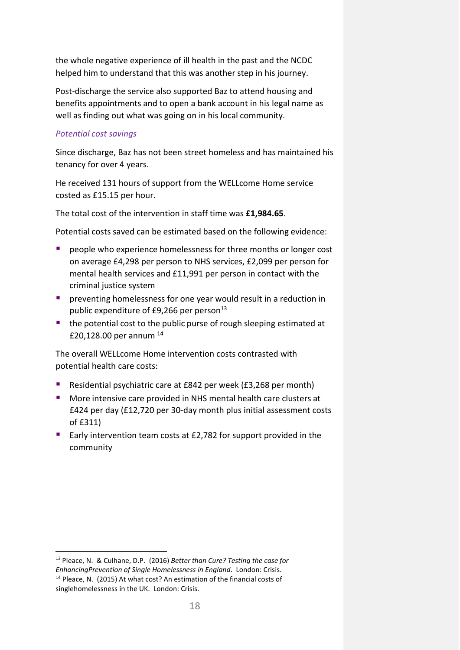the whole negative experience of ill health in the past and the NCDC helped him to understand that this was another step in his journey.

Post-discharge the service also supported Baz to attend housing and benefits appointments and to open a bank account in his legal name as well as finding out what was going on in his local community.

## *Potential cost savings*

Since discharge, Baz has not been street homeless and has maintained his tenancy for over 4 years.

He received 131 hours of support from the WELLcome Home service costed as £15.15 per hour.

The total cost of the intervention in staff time was **£1,984.65**.

Potential costs saved can be estimated based on the following evidence:

- people who experience homelessness for three months or longer cost on average £4,298 per person to NHS services, £2,099 per person for mental health services and £11,991 per person in contact with the criminal justice system
- **P** preventing homelessness for one year would result in a reduction in public expenditure of £9,266 per person<sup>13</sup>
- **the potential cost to the public purse of rough sleeping estimated at** £20,128.00 per annum <sup>14</sup>

The overall WELLcome Home intervention costs contrasted with potential health care costs:

- Residential psychiatric care at £842 per week (£3,268 per month)
- **More intensive care provided in NHS mental health care clusters at 4** £424 per day (£12,720 per 30-day month plus initial assessment costs of £311)
- Early intervention team costs at £2,782 for support provided in the community

<sup>13</sup> Pleace, N. & Culhane, D.P. (2016) *Better than Cure? Testing the case for EnhancingPrevention of Single Homelessness in England*. London: Crisis. <sup>14</sup> Pleace, N. (2015) At what cost? An estimation of the financial costs of singlehomelessness in the UK. London: Crisis.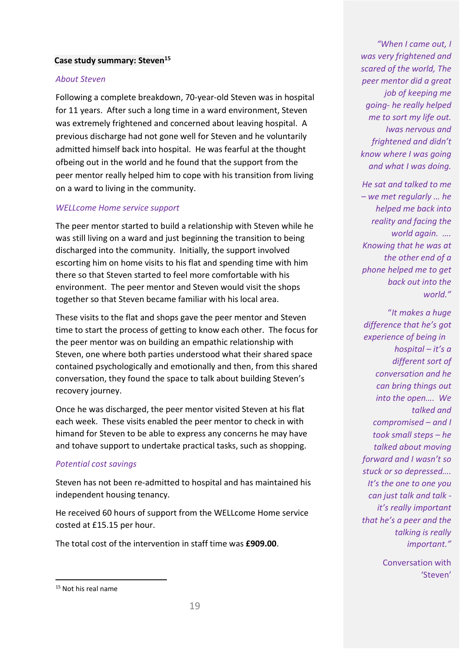#### **Case study summary: Steven15**

#### *About Steven*

Following a complete breakdown, 70-year-old Steven was in hospital for 11 years. After such a long time in a ward environment, Steven was extremely frightened and concerned about leaving hospital. A previous discharge had not gone well for Steven and he voluntarily admitted himself back into hospital. He was fearful at the thought ofbeing out in the world and he found that the support from the peer mentor really helped him to cope with his transition from living on a ward to living in the community.

#### *WELLcome Home service support*

The peer mentor started to build a relationship with Steven while he was still living on a ward and just beginning the transition to being discharged into the community. Initially, the support involved escorting him on home visits to his flat and spending time with him there so that Steven started to feel more comfortable with his environment. The peer mentor and Steven would visit the shops together so that Steven became familiar with his local area.

These visits to the flat and shops gave the peer mentor and Steven time to start the process of getting to know each other. The focus for the peer mentor was on building an empathic relationship with Steven, one where both parties understood what their shared space contained psychologically and emotionally and then, from this shared conversation, they found the space to talk about building Steven's recovery journey.

Once he was discharged, the peer mentor visited Steven at his flat each week. These visits enabled the peer mentor to check in with himand for Steven to be able to express any concerns he may have and tohave support to undertake practical tasks, such as shopping.

#### *Potential cost savings*

Steven has not been re-admitted to hospital and has maintained his independent housing tenancy.

He received 60 hours of support from the WELLcome Home service costed at £15.15 per hour.

The total cost of the intervention in staff time was **£909.00**.

*He sat and talked to me – we met regularly … he helped me back into reality and facing the world again. …. Knowing that he was at the other end of a phone helped me to get back out into the world."*

"*It makes a huge difference that he's got experience of being in hospital – it's a different sort of conversation and he can bring things out into the open…. We talked and compromised – and I took small steps – he talked about moving forward and I wasn't so stuck or so depressed…. It's the one to one you can just talk and talk it's really important that he's a peer and the talking is really important."*

> Conversation with 'Steven'

*<sup>&</sup>quot;When I came out, I was very frightened and scared of the world, The peer mentor did a great job of keeping me going- he really helped me to sort my life out. Iwas nervous and frightened and didn't know where I was going and what I was doing.*

<sup>&</sup>lt;sup>15</sup> Not his real name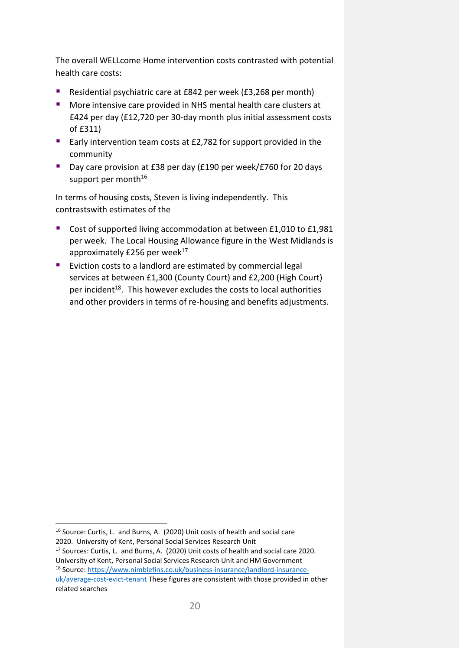The overall WELLcome Home intervention costs contrasted with potential health care costs:

- Residential psychiatric care at £842 per week (£3,268 per month)
- **More intensive care provided in NHS mental health care clusters at** £424 per day (£12,720 per 30-day month plus initial assessment costs of £311)
- Early intervention team costs at £2,782 for support provided in the community
- Day care provision at £38 per day (£190 per week/£760 for 20 days support per month $16$

In terms of housing costs, Steven is living independently. This contrastswith estimates of the

- Cost of supported living accommodation at between £1,010 to £1,981 per week. The Local Housing Allowance figure in the West Midlands is approximately £256 per week<sup>17</sup>
- **E** Eviction costs to a landlord are estimated by commercial legal services at between £1,300 (County Court) and £2,200 (High Court) per incident<sup>18</sup>. This however excludes the costs to local authorities and other providers in terms of re-housing and benefits adjustments.

<sup>16</sup> Source: Curtis, L. and Burns, A. (2020) Unit costs of health and social care 2020. University of Kent, Personal Social Services Research Unit

<sup>17</sup> Sources: Curtis, L. and Burns, A. (2020) Unit costs of health and social care 2020. University of Kent, Personal Social Services Research Unit and HM Government <sup>18</sup> Source[: https://www.nimblefins.co.uk/business-insurance/landlord-insurance](https://www.nimblefins.co.uk/business-insurance/landlord-insurance-uk/average-cost-evict-tenant)[uk/average-cost-evict-tenant](https://www.nimblefins.co.uk/business-insurance/landlord-insurance-uk/average-cost-evict-tenant) These figures are consistent with those provided in other related searches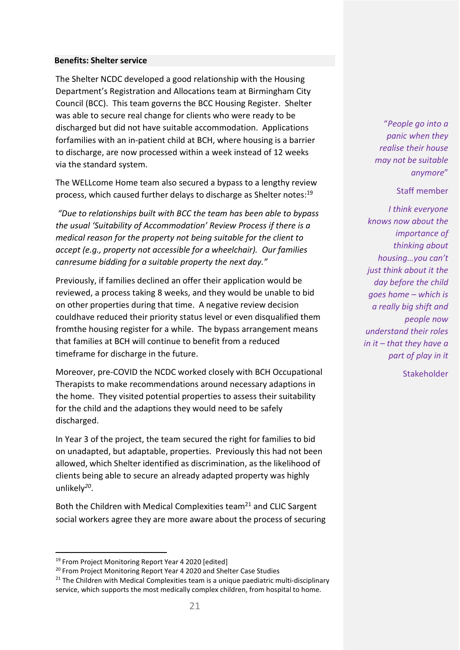#### **Benefits: Shelter service**

The Shelter NCDC developed a good relationship with the Housing Department's Registration and Allocations team at Birmingham City Council (BCC). This team governs the BCC Housing Register. Shelter was able to secure real change for clients who were ready to be discharged but did not have suitable accommodation. Applications forfamilies with an in-patient child at BCH, where housing is a barrier to discharge, are now processed within a week instead of 12 weeks via the standard system.

The WELLcome Home team also secured a bypass to a lengthy review process, which caused further delays to discharge as Shelter notes:19

*"Due to relationships built with BCC the team has been able to bypass the usual 'Suitability of Accommodation' Review Process if there is a medical reason for the property not being suitable for the client to accept (e.g., property not accessible for a wheelchair). Our families canresume bidding for a suitable property the next day."*

Previously, if families declined an offer their application would be reviewed, a process taking 8 weeks, and they would be unable to bid on other properties during that time. A negative review decision couldhave reduced their priority status level or even disqualified them fromthe housing register for a while. The bypass arrangement means that families at BCH will continue to benefit from a reduced timeframe for discharge in the future.

Moreover, pre-COVID the NCDC worked closely with BCH Occupational Therapists to make recommendations around necessary adaptions in the home. They visited potential properties to assess their suitability for the child and the adaptions they would need to be safely discharged.

In Year 3 of the project, the team secured the right for families to bid on unadapted, but adaptable, properties. Previously this had not been allowed, which Shelter identified as discrimination, as the likelihood of clients being able to secure an already adapted property was highly unlikely*<sup>20</sup>*.

Both the Children with Medical Complexities team<sup>21</sup> and CLIC Sargent social workers agree they are more aware about the process of securing

"*People go into a panic when they realise their house may not be suitable anymore*"

#### Staff member

*I think everyone knows now about the importance of thinking about housing…you can't just think about it the day before the child goes home – which is a really big shift and people now understand their roles in it – that they have a part of play in it*

**Stakeholder** 

<sup>&</sup>lt;sup>19</sup> From Project Monitoring Report Year 4 2020 [edited]

<sup>&</sup>lt;sup>20</sup> From Project Monitoring Report Year 4 2020 and Shelter Case Studies

 $21$  The Children with Medical Complexities team is a unique paediatric multi-disciplinary service, which supports the most medically complex children, from hospital to home.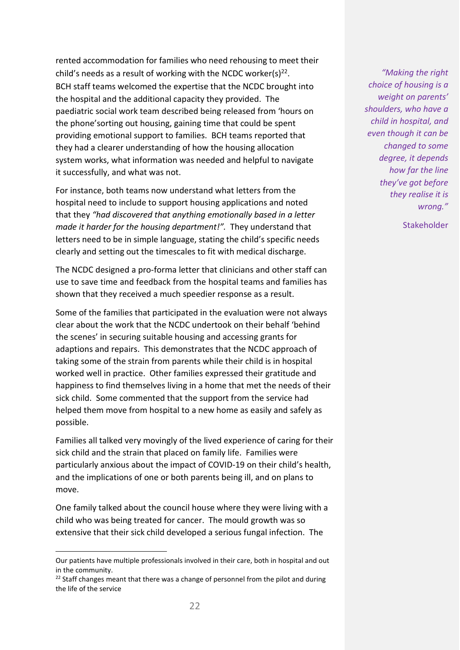rented accommodation for families who need rehousing to meet their child's needs as a result of working with the NCDC worker(s) $^{22}$ . BCH staff teams welcomed the expertise that the NCDC brought into the hospital and the additional capacity they provided. The paediatric social work team described being released from 'hours on the phone'sorting out housing, gaining time that could be spent providing emotional support to families. BCH teams reported that they had a clearer understanding of how the housing allocation system works, what information was needed and helpful to navigate it successfully, and what was not.

For instance, both teams now understand what letters from the hospital need to include to support housing applications and noted that they *"had discovered that anything emotionally based in a letter made it harder for the housing department!".* They understand that letters need to be in simple language, stating the child's specific needs clearly and setting out the timescales to fit with medical discharge.

The NCDC designed a pro-forma letter that clinicians and other staff can use to save time and feedback from the hospital teams and families has shown that they received a much speedier response as a result.

Some of the families that participated in the evaluation were not always clear about the work that the NCDC undertook on their behalf 'behind the scenes' in securing suitable housing and accessing grants for adaptions and repairs. This demonstrates that the NCDC approach of taking some of the strain from parents while their child is in hospital worked well in practice. Other families expressed their gratitude and happiness to find themselves living in a home that met the needs of their sick child. Some commented that the support from the service had helped them move from hospital to a new home as easily and safely as possible.

Families all talked very movingly of the lived experience of caring for their sick child and the strain that placed on family life. Families were particularly anxious about the impact of COVID-19 on their child's health, and the implications of one or both parents being ill, and on plans to move.

One family talked about the council house where they were living with a child who was being treated for cancer. The mould growth was so extensive that their sick child developed a serious fungal infection. The

*"Making the right choice of housing is a weight on parents' shoulders, who have a child in hospital, and even though it can be changed to some degree, it depends how far the line they've got before they realise it is wrong."*

Stakeholder

Our patients have multiple professionals involved in their care, both in hospital and out in the community.

 $22$  Staff changes meant that there was a change of personnel from the pilot and during the life of the service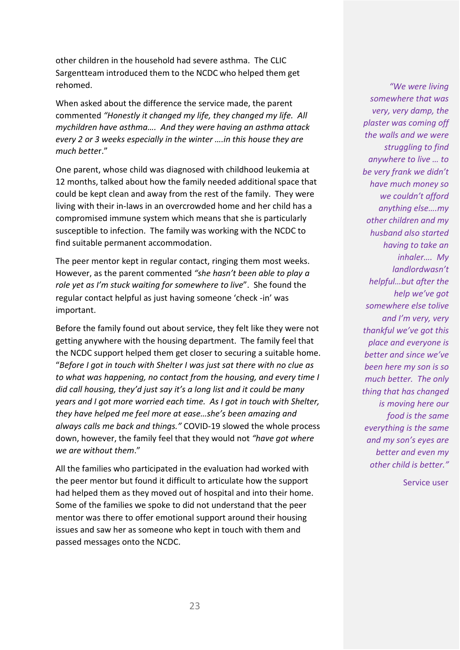other children in the household had severe asthma. The CLIC Sargentteam introduced them to the NCDC who helped them get rehomed.

When asked about the difference the service made, the parent commented *"Honestly it changed my life, they changed my life. All mychildren have asthma…. And they were having an asthma attack every 2 or 3 weeks especially in the winter ….in this house they are much bette*r."

One parent, whose child was diagnosed with childhood leukemia at 12 months, talked about how the family needed additional space that could be kept clean and away from the rest of the family. They were living with their in-laws in an overcrowded home and her child has a compromised immune system which means that she is particularly susceptible to infection. The family was working with the NCDC to find suitable permanent accommodation.

The peer mentor kept in regular contact, ringing them most weeks. However, as the parent commented *"she hasn't been able to play a role yet as I'm stuck waiting for somewhere to live*". She found the regular contact helpful as just having someone 'check -in' was important.

Before the family found out about service, they felt like they were not getting anywhere with the housing department. The family feel that the NCDC support helped them get closer to securing a suitable home. "*Before I got in touch with Shelter I was just sat there with no clue as to what was happening, no contact from the housing, and every time I did call housing, they'd just say it's a long list and it could be many years and I got more worried each time. As I got in touch with Shelter, they have helped me feel more at ease…she's been amazing and always calls me back and things."* COVID-19 slowed the whole process down, however, the family feel that they would not *"have got where we are without them*."

All the families who participated in the evaluation had worked with the peer mentor but found it difficult to articulate how the support had helped them as they moved out of hospital and into their home. Some of the families we spoke to did not understand that the peer mentor was there to offer emotional support around their housing issues and saw her as someone who kept in touch with them and passed messages onto the NCDC.

*"We were living somewhere that was very, very damp, the plaster was coming off the walls and we were struggling to find anywhere to live … to be very frank we didn't have much money so we couldn't afford anything else….my other children and my husband also started having to take an inhaler…. My landlordwasn't helpful…but after the help we've got somewhere else tolive and I'm very, very thankful we've got this place and everyone is better and since we've been here my son is so much better. The only thing that has changed is moving here our food is the same everything is the same and my son's eyes are better and even my other child is better."*

Service user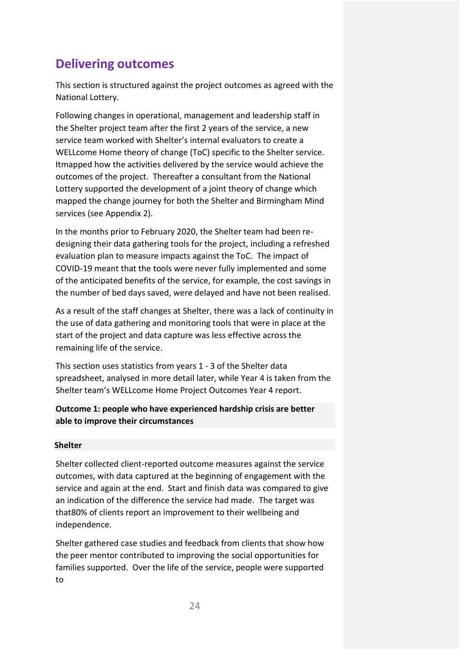# <span id="page-25-0"></span>**Delivering outcomes**

This section is structured against the project outcomes as agreed with the National Lottery.

Following changes in operational, management and leadership staff in the Shelter project team after the first 2 years of the service, a new service team worked with Shelter's internal evaluators to create a WELLcome Home theory of change (ToC) specific to the Shelter service. Itmapped how the activities delivered by the service would achieve the outcomes of the project. Thereafter a consultant from the National Lottery supported the development of a joint theory of change which mapped the change journey for both the Shelter and Birmingham Mind services (see Appendix 2).

In the months prior to February 2020, the Shelter team had been redesigning their data gathering tools for the project, including a refreshed evaluation plan to measure impacts against the ToC. The impact of COVID-19 meant that the tools were never fully implemented and some of the anticipated benefits of the service, for example, the cost savings in the number of bed days saved, were delayed and have not been realised.

As a result of the staff changes at Shelter, there was a lack of continuity in the use of data gathering and monitoring tools that were in place at the start of the project and data capture was less effective across the remaining life of the service.

This section uses statistics from years 1 - 3 of the Shelter data spreadsheet, analysed in more detail later, while Year 4 is taken from the Shelter team's WELLcome Home Project Outcomes Year 4 report.

## **Outcome 1: people who have experienced hardship crisis are better able to improve their circumstances**

#### **Shelter**

Shelter collected client-reported outcome measures against the service outcomes, with data captured at the beginning of engagement with the service and again at the end. Start and finish data was compared to give an indication of the difference the service had made. The target was that80% of clients report an improvement to their wellbeing and independence.

Shelter gathered case studies and feedback from clients that show how the peer mentor contributed to improving the social opportunities for families supported. Over the life of the service, people were supported to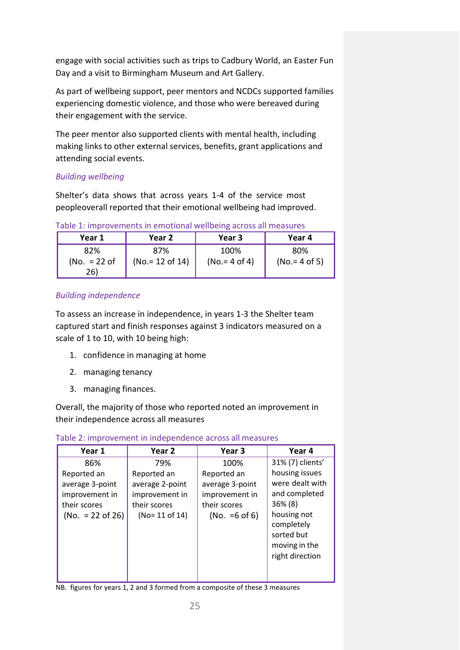engage with social activities such as trips to Cadbury World, an Easter Fun Day and a visit to Birmingham Museum and Art Gallery.

As part of wellbeing support, peer mentors and NCDCs supported families experiencing domestic violence, and those who were bereaved during their engagement with the service.

The peer mentor also supported clients with mental health, including making links to other external services, benefits, grant applications and attending social events.

## *Building wellbeing*

Shelter's data shows that across years 1-4 of the service most peopleoverall reported that their emotional wellbeing had improved.

| Year 1         | Year 2            | Year 3          | Year 4          |  |
|----------------|-------------------|-----------------|-----------------|--|
| 82%            | 87%               | 100%            | 80%             |  |
| (No. $= 22$ of | $(No = 12$ of 14) | $(No.= 4 of 4)$ | $(No.= 4 of 5)$ |  |
| 26)            |                   |                 |                 |  |

Table 1: improvements in emotional wellbeing across all measures

## *Building independence*

To assess an increase in independence, in years 1-3 the Shelter team captured start and finish responses against 3 indicators measured on a scale of 1 to 10, with 10 being high:

- 1. confidence in managing at home
- 2. managing tenancy
- 3. managing finances.

Overall, the majority of those who reported noted an improvement in their independence across all measures

| Year <sub>2</sub>                                                                   | Year <sub>3</sub>                                                                    | Year 4                                                                                                                                          |
|-------------------------------------------------------------------------------------|--------------------------------------------------------------------------------------|-------------------------------------------------------------------------------------------------------------------------------------------------|
| 79%                                                                                 | 100%                                                                                 | 31% (7) clients'                                                                                                                                |
| Reported an<br>average 2-point<br>improvement in<br>their scores<br>$(No=11$ of 14) | Reported an<br>average 3-point<br>improvement in<br>their scores<br>(No. = $6$ of 6) | housing issues<br>were dealt with<br>and completed<br>$36\% (8)$<br>housing not<br>completely<br>sorted but<br>moving in the<br>right direction |
|                                                                                     |                                                                                      |                                                                                                                                                 |

Table 2: improvement in independence across all measures

NB. figures for years 1, 2 and 3 formed from a composite of these 3 measures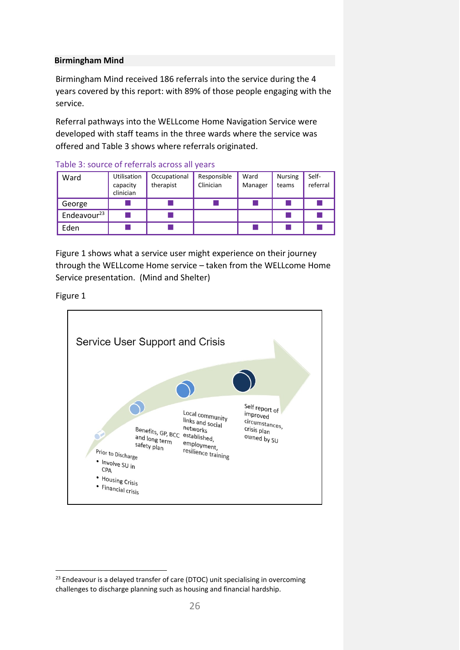#### **Birmingham Mind**

Birmingham Mind received 186 referrals into the service during the 4 years covered by this report: with 89% of those people engaging with the service.

Referral pathways into the WELLcome Home Navigation Service were developed with staff teams in the three wards where the service was offered and Table 3 shows where referrals originated.

| Ward                    | Utilisation<br>capacity<br>clinician | Occupational<br>therapist | Responsible<br>Clinician | Ward<br>Manager | <b>Nursing</b><br>teams | Self-<br>referral |
|-------------------------|--------------------------------------|---------------------------|--------------------------|-----------------|-------------------------|-------------------|
| George                  |                                      |                           |                          |                 |                         |                   |
| Endeavour <sup>23</sup> |                                      |                           |                          |                 |                         |                   |
| Eden                    |                                      |                           |                          |                 |                         |                   |

Table 3: source of referrals across all years

Figure 1 shows what a service user might experience on their journey through the WELLcome Home service – taken from the WELLcome Home Service presentation. (Mind and Shelter)

Figure 1



<sup>&</sup>lt;sup>23</sup> Endeavour is a delayed transfer of care (DTOC) unit specialising in overcoming challenges to discharge planning such as housing and financial hardship.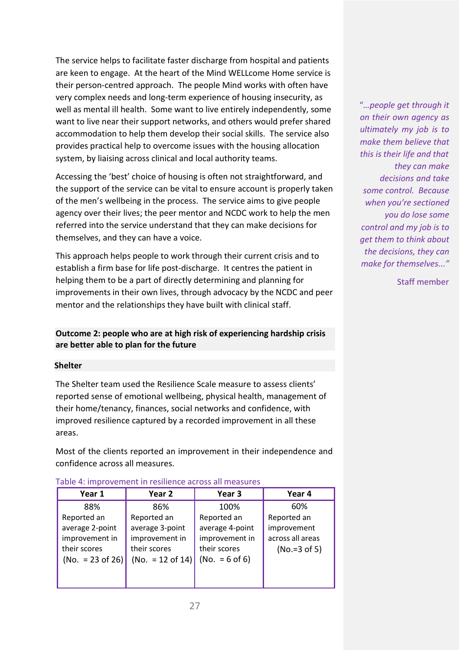The service helps to facilitate faster discharge from hospital and patients are keen to engage. At the heart of the Mind WELLcome Home service is their person-centred approach. The people Mind works with often have very complex needs and long-term experience of housing insecurity, as well as mental ill health. Some want to live entirely independently, some want to live near their support networks, and others would prefer shared accommodation to help them develop their social skills. The service also provides practical help to overcome issues with the housing allocation system, by liaising across clinical and local authority teams.

Accessing the 'best' choice of housing is often not straightforward, and the support of the service can be vital to ensure account is properly taken of the men's wellbeing in the process. The service aims to give people agency over their lives; the peer mentor and NCDC work to help the men referred into the service understand that they can make decisions for themselves, and they can have a voice.

This approach helps people to work through their current crisis and to establish a firm base for life post-discharge. It centres the patient in helping them to be a part of directly determining and planning for improvements in their own lives, through advocacy by the NCDC and peer mentor and the relationships they have built with clinical staff.

## **Outcome 2: people who are at high risk of experiencing hardship crisis are better able to plan for the future**

#### **Shelter**

The Shelter team used the Resilience Scale measure to assess clients' reported sense of emotional wellbeing, physical health, management of their home/tenancy, finances, social networks and confidence, with improved resilience captured by a recorded improvement in all these areas.

Most of the clients reported an improvement in their independence and confidence across all measures.

| Year 1             | Year 2             | Year <sub>3</sub> | Year 4           |
|--------------------|--------------------|-------------------|------------------|
| 88%                | 86%                | 100%              | 60%              |
| Reported an        | Reported an        | Reported an       | Reported an      |
| average 2-point    | average 3-point    | average 4-point   | improvement      |
| improvement in     | improvement in     | improvement in    | across all areas |
| their scores       | their scores       | their scores      | $(No.=3 of 5)$   |
| $(No. = 23 of 26)$ | (No. $= 12$ of 14) | $(No. = 6 of 6)$  |                  |
|                    |                    |                   |                  |
|                    |                    |                   |                  |

"*…people get through it on their own agency as ultimately my job is to make them believe that this is their life and that they can make decisions and take some control. Because when you're sectioned you do lose some control and my job is to get them to think about the decisions, they can make for themselves..."*

Staff member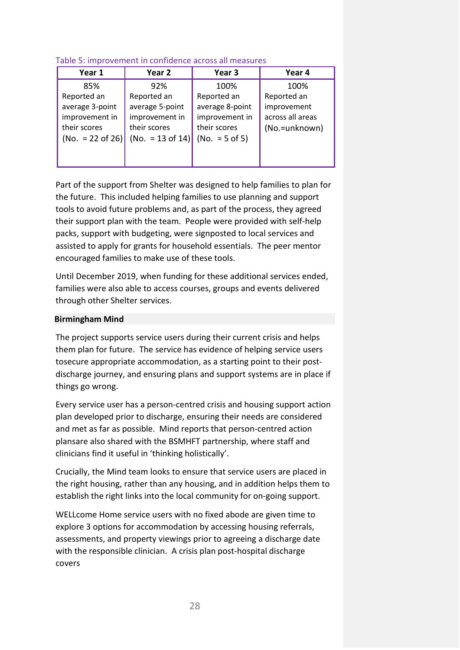#### Table 5: improvement in confidence across all measures

| Year 1                      | Year 2           | Year <sub>3</sub> | Year 4           |
|-----------------------------|------------------|-------------------|------------------|
| 85%                         | 92%              | 100%              | 100%             |
| Reported an                 | Reported an      | Reported an       | Reported an      |
| average 3-point             | average 5-point  | average 8-point   | improvement      |
| improvement in              | improvement in   | improvement in    | across all areas |
| their scores                | their scores     | their scores      | (No.=unknown)    |
| $(No. = 22 \text{ of } 26)$ | (No. = 13 of 14) | $(No. = 5 of 5)$  |                  |
|                             |                  |                   |                  |
|                             |                  |                   |                  |

Part of the support from Shelter was designed to help families to plan for the future. This included helping families to use planning and support tools to avoid future problems and, as part of the process, they agreed their support plan with the team. People were provided with self-help packs, support with budgeting, were signposted to local services and assisted to apply for grants for household essentials. The peer mentor encouraged families to make use of these tools.

Until December 2019, when funding for these additional services ended, families were also able to access courses, groups and events delivered through other Shelter services.

#### **Birmingham Mind**

The project supports service users during their current crisis and helps them plan for future. The service has evidence of helping service users tosecure appropriate accommodation, as a starting point to their postdischarge journey, and ensuring plans and support systems are in place if things go wrong.

Every service user has a person-centred crisis and housing support action plan developed prior to discharge, ensuring their needs are considered and met as far as possible. Mind reports that person-centred action plansare also shared with the BSMHFT partnership, where staff and clinicians find it useful in 'thinking holistically'.

Crucially, the Mind team looks to ensure that service users are placed in the right housing, rather than any housing, and in addition helps them to establish the right links into the local community for on-going support.

WELLcome Home service users with no fixed abode are given time to explore 3 options for accommodation by accessing housing referrals, assessments, and property viewings prior to agreeing a discharge date with the responsible clinician. A crisis plan post-hospital discharge covers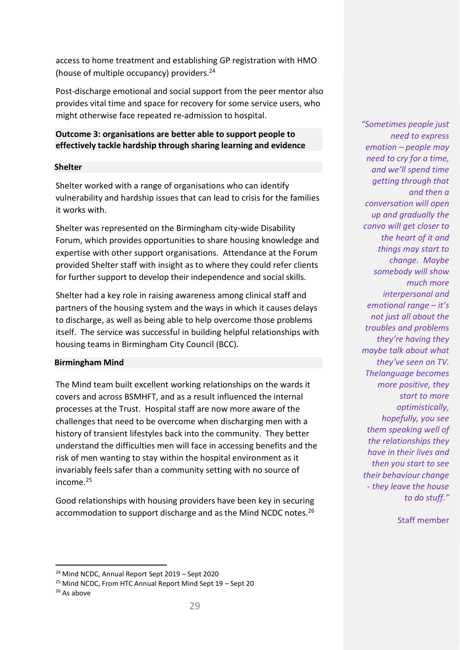access to home treatment and establishing GP registration with HMO (house of multiple occupancy) providers.24

Post-discharge emotional and social support from the peer mentor also provides vital time and space for recovery for some service users, who might otherwise face repeated re-admission to hospital.

### **Outcome 3: organisations are better able to support people to effectively tackle hardship through sharing learning and evidence**

#### **Shelter**

Shelter worked with a range of organisations who can identify vulnerability and hardship issues that can lead to crisis for the families it works with.

Shelter was represented on the Birmingham city-wide Disability Forum, which provides opportunities to share housing knowledge and expertise with other support organisations. Attendance at the Forum provided Shelter staff with insight as to where they could refer clients for further support to develop their independence and social skills.

Shelter had a key role in raising awareness among clinical staff and partners of the housing system and the ways in which it causes delays to discharge, as well as being able to help overcome those problems itself. The service was successful in building helpful relationships with housing teams in Birmingham City Council (BCC).

#### **Birmingham Mind**

The Mind team built excellent working relationships on the wards it covers and across BSMHFT, and as a result influenced the internal processes at the Trust. Hospital staff are now more aware of the challenges that need to be overcome when discharging men with a history of transient lifestyles back into the community. They better understand the difficulties men will face in accessing benefits and the risk of men wanting to stay within the hospital environment as it invariably feels safer than a community setting with no source of income.25

Good relationships with housing providers have been key in securing accommodation to support discharge and as the Mind NCDC notes.<sup>26</sup>

*"Sometimes people just need to express emotion – people may need to cry for a time, and we'll spend time getting through that and then a conversation will open up and gradually the convo will get closer to the heart of it and things may start to change. Maybe somebody will show much more interpersonal and emotional range – it's not just all about the troubles and problems they're having they maybe talk about what they've seen on TV. Thelanguage becomes more positive, they start to more optimistically, hopefully, you see them speaking well of the relationships they have in their lives and then you start to see their behaviour change - they leave the house to do stuff."*

Staff member

<sup>24</sup> Mind NCDC, Annual Report Sept 2019 – Sept 2020

<sup>25</sup> Mind NCDC, From HTC Annual Report Mind Sept 19 – Sept 20

<sup>&</sup>lt;sup>26</sup> As above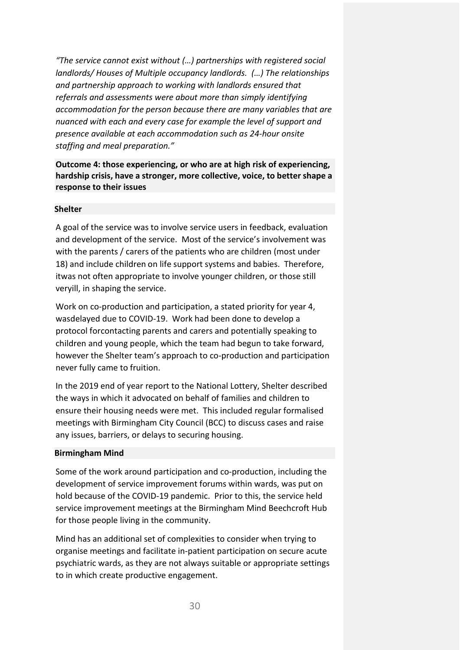*"The service cannot exist without (…) partnerships with registered social landlords/ Houses of Multiple occupancy landlords. (…) The relationships and partnership approach to working with landlords ensured that referrals and assessments were about more than simply identifying accommodation for the person because there are many variables that are nuanced with each and every case for example the level of support and presence available at each accommodation such as 24-hour onsite staffing and meal preparation."*

**Outcome 4: those experiencing, or who are at high risk of experiencing, hardship crisis, have a stronger, more collective, voice, to better shape a response to their issues**

#### **Shelter**

A goal of the service was to involve service users in feedback, evaluation and development of the service. Most of the service's involvement was with the parents / carers of the patients who are children (most under 18) and include children on life support systems and babies. Therefore, itwas not often appropriate to involve younger children, or those still veryill, in shaping the service.

Work on co-production and participation, a stated priority for year 4, wasdelayed due to COVID-19. Work had been done to develop a protocol forcontacting parents and carers and potentially speaking to children and young people, which the team had begun to take forward, however the Shelter team's approach to co-production and participation never fully came to fruition.

In the 2019 end of year report to the National Lottery, Shelter described the ways in which it advocated on behalf of families and children to ensure their housing needs were met. This included regular formalised meetings with Birmingham City Council (BCC) to discuss cases and raise any issues, barriers, or delays to securing housing.

#### **Birmingham Mind**

Some of the work around participation and co-production, including the development of service improvement forums within wards, was put on hold because of the COVID-19 pandemic. Prior to this, the service held service improvement meetings at the Birmingham Mind Beechcroft Hub for those people living in the community.

Mind has an additional set of complexities to consider when trying to organise meetings and facilitate in-patient participation on secure acute psychiatric wards, as they are not always suitable or appropriate settings to in which create productive engagement.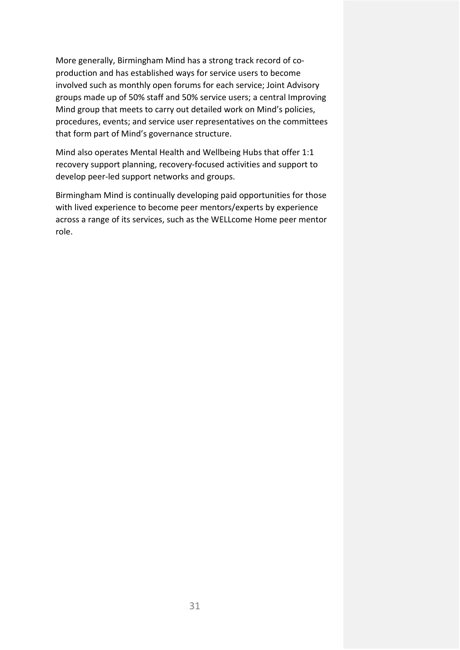More generally, Birmingham Mind has a strong track record of coproduction and has established ways for service users to become involved such as monthly open forums for each service; Joint Advisory groups made up of 50% staff and 50% service users; a central Improving Mind group that meets to carry out detailed work on Mind's policies, procedures, events; and service user representatives on the committees that form part of Mind's governance structure.

Mind also operates Mental Health and Wellbeing Hubs that offer 1:1 recovery support planning, recovery-focused activities and support to develop peer-led support networks and groups.

Birmingham Mind is continually developing paid opportunities for those with lived experience to become peer mentors/experts by experience across a range of its services, such as the WELLcome Home peer mentor role.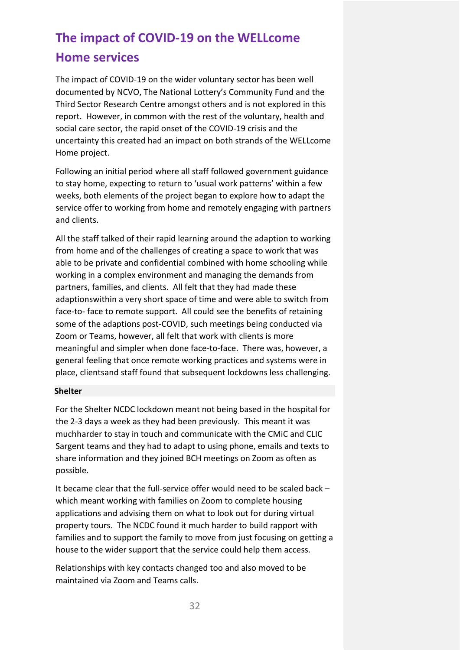# **The impact of COVID-19 on the WELLcome Home services**

The impact of COVID-19 on the wider voluntary sector has been well documented by NCVO, The National Lottery's Community Fund and the Third Sector Research Centre amongst others and is not explored in this report. However, in common with the rest of the voluntary, health and social care sector, the rapid onset of the COVID-19 crisis and the uncertainty this created had an impact on both strands of the WELLcome Home project.

Following an initial period where all staff followed government guidance to stay home, expecting to return to 'usual work patterns' within a few weeks, both elements of the project began to explore how to adapt the service offer to working from home and remotely engaging with partners and clients.

All the staff talked of their rapid learning around the adaption to working from home and of the challenges of creating a space to work that was able to be private and confidential combined with home schooling while working in a complex environment and managing the demands from partners, families, and clients. All felt that they had made these adaptionswithin a very short space of time and were able to switch from face-to- face to remote support. All could see the benefits of retaining some of the adaptions post-COVID, such meetings being conducted via Zoom or Teams, however, all felt that work with clients is more meaningful and simpler when done face-to-face. There was, however, a general feeling that once remote working practices and systems were in place, clientsand staff found that subsequent lockdowns less challenging.

#### **Shelter**

For the Shelter NCDC lockdown meant not being based in the hospital for the 2-3 days a week as they had been previously. This meant it was muchharder to stay in touch and communicate with the CMiC and CLIC Sargent teams and they had to adapt to using phone, emails and texts to share information and they joined BCH meetings on Zoom as often as possible.

It became clear that the full-service offer would need to be scaled back – which meant working with families on Zoom to complete housing applications and advising them on what to look out for during virtual property tours. The NCDC found it much harder to build rapport with families and to support the family to move from just focusing on getting a house to the wider support that the service could help them access.

Relationships with key contacts changed too and also moved to be maintained via Zoom and Teams calls.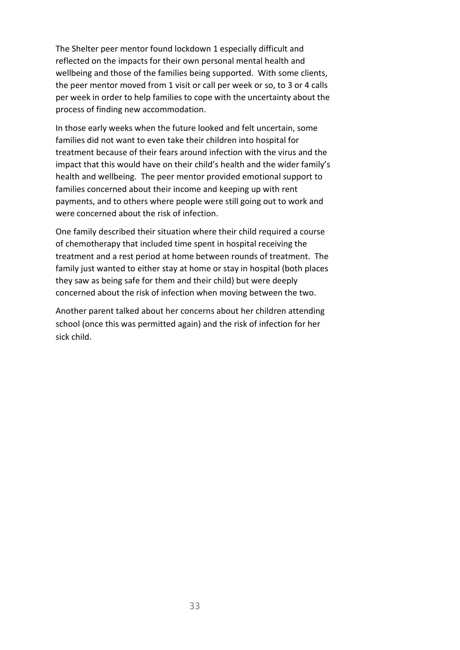The Shelter peer mentor found lockdown 1 especially difficult and reflected on the impacts for their own personal mental health and wellbeing and those of the families being supported. With some clients, the peer mentor moved from 1 visit or call per week or so, to 3 or 4 calls per week in order to help families to cope with the uncertainty about the process of finding new accommodation.

In those early weeks when the future looked and felt uncertain, some families did not want to even take their children into hospital for treatment because of their fears around infection with the virus and the impact that this would have on their child's health and the wider family's health and wellbeing. The peer mentor provided emotional support to families concerned about their income and keeping up with rent payments, and to others where people were still going out to work and were concerned about the risk of infection.

One family described their situation where their child required a course of chemotherapy that included time spent in hospital receiving the treatment and a rest period at home between rounds of treatment. The family just wanted to either stay at home or stay in hospital (both places they saw as being safe for them and their child) but were deeply concerned about the risk of infection when moving between the two.

Another parent talked about her concerns about her children attending school (once this was permitted again) and the risk of infection for her sick child.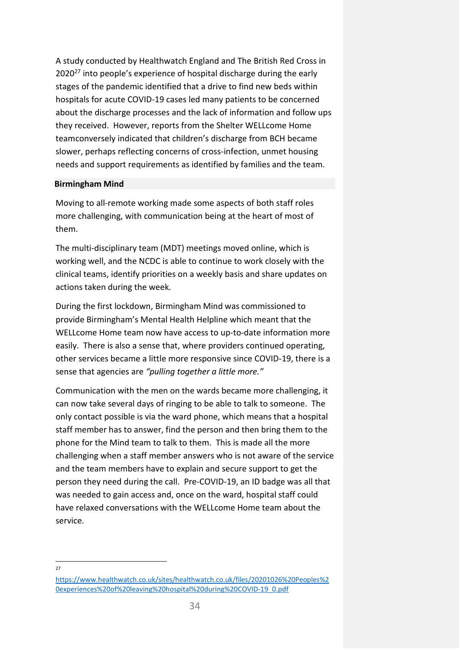A study conducted by Healthwatch England and The British Red Cross in  $2020^{27}$  into people's experience of hospital discharge during the early stages of the pandemic identified that a drive to find new beds within hospitals for acute COVID-19 cases led many patients to be concerned about the discharge processes and the lack of information and follow ups they received. However, reports from the Shelter WELLcome Home teamconversely indicated that children's discharge from BCH became slower, perhaps reflecting concerns of cross-infection, unmet housing needs and support requirements as identified by families and the team.

#### **Birmingham Mind**

Moving to all-remote working made some aspects of both staff roles more challenging, with communication being at the heart of most of them.

The multi-disciplinary team (MDT) meetings moved online, which is working well, and the NCDC is able to continue to work closely with the clinical teams, identify priorities on a weekly basis and share updates on actions taken during the week.

During the first lockdown, Birmingham Mind was commissioned to provide Birmingham's Mental Health Helpline which meant that the WELLcome Home team now have access to up-to-date information more easily. There is also a sense that, where providers continued operating, other services became a little more responsive since COVID-19, there is a sense that agencies are *"pulling together a little more."*

Communication with the men on the wards became more challenging, it can now take several days of ringing to be able to talk to someone. The only contact possible is via the ward phone, which means that a hospital staff member has to answer, find the person and then bring them to the phone for the Mind team to talk to them. This is made all the more challenging when a staff member answers who is not aware of the service and the team members have to explain and secure support to get the person they need during the call. Pre-COVID-19, an ID badge was all that was needed to gain access and, once on the ward, hospital staff could have relaxed conversations with the WELLcome Home team about the service.

 $27$ 

[https://www.healthwatch.co.uk/sites/healthwatch.co.uk/files/20201026%20Peoples%2](https://www.healthwatch.co.uk/sites/healthwatch.co.uk/files/20201026%20Peoples%20experiences%20of%20leaving%20hospital%20during%20COVID-19_0.pdf) [0experiences%20of%20leaving%20hospital%20during%20COVID-19\\_0.pdf](https://www.healthwatch.co.uk/sites/healthwatch.co.uk/files/20201026%20Peoples%20experiences%20of%20leaving%20hospital%20during%20COVID-19_0.pdf)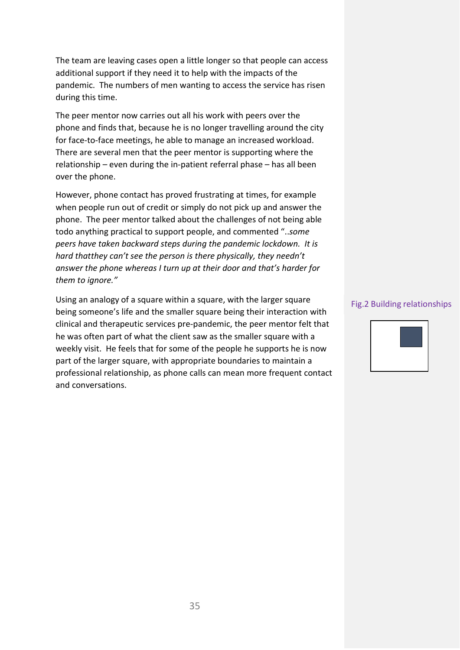The team are leaving cases open a little longer so that people can access additional support if they need it to help with the impacts of the pandemic. The numbers of men wanting to access the service has risen during this time.

The peer mentor now carries out all his work with peers over the phone and finds that, because he is no longer travelling around the city for face-to-face meetings, he able to manage an increased workload. There are several men that the peer mentor is supporting where the relationship – even during the in-patient referral phase – has all been over the phone.

However, phone contact has proved frustrating at times, for example when people run out of credit or simply do not pick up and answer the phone. The peer mentor talked about the challenges of not being able todo anything practical to support people, and commented "..*some peers have taken backward steps during the pandemic lockdown. It is hard thatthey can't see the person is there physically, they needn't answer the phone whereas I turn up at their door and that's harder for them to ignore."*

Using an analogy of a square within a square, with the larger square being someone's life and the smaller square being their interaction with clinical and therapeutic services pre-pandemic, the peer mentor felt that he was often part of what the client saw as the smaller square with a weekly visit. He feels that for some of the people he supports he is now part of the larger square, with appropriate boundaries to maintain a professional relationship, as phone calls can mean more frequent contact and conversations.

#### Fig.2 Building relationships

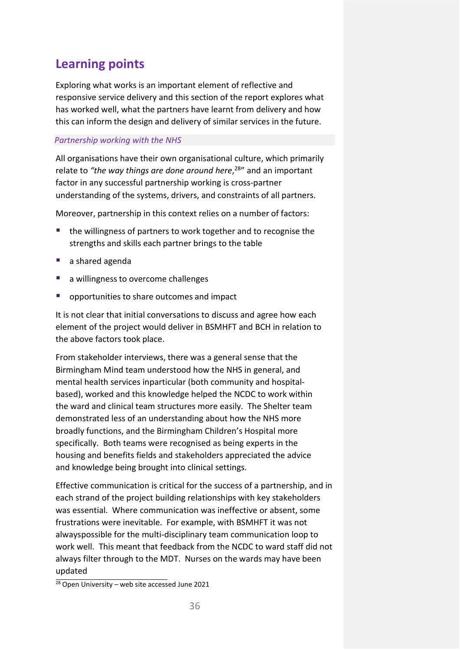# <span id="page-37-0"></span>**Learning points**

Exploring what works is an important element of reflective and responsive service delivery and this section of the report explores what has worked well, what the partners have learnt from delivery and how this can inform the design and delivery of similar services in the future.

#### *Partnership working with the NHS*

All organisations have their own organisational culture, which primarily relate to *"the way things are done around here*, 28" and an important factor in any successful partnership working is cross-partner understanding of the systems, drivers, and constraints of all partners.

Moreover, partnership in this context relies on a number of factors:

- the willingness of partners to work together and to recognise the strengths and skills each partner brings to the table
- a shared agenda
- a willingness to overcome challenges
- **•** opportunities to share outcomes and impact

It is not clear that initial conversations to discuss and agree how each element of the project would deliver in BSMHFT and BCH in relation to the above factors took place.

From stakeholder interviews, there was a general sense that the Birmingham Mind team understood how the NHS in general, and mental health services inparticular (both community and hospitalbased), worked and this knowledge helped the NCDC to work within the ward and clinical team structures more easily. The Shelter team demonstrated less of an understanding about how the NHS more broadly functions, and the Birmingham Children's Hospital more specifically. Both teams were recognised as being experts in the housing and benefits fields and stakeholders appreciated the advice and knowledge being brought into clinical settings.

Effective communication is critical for the success of a partnership, and in each strand of the project building relationships with key stakeholders was essential. Where communication was ineffective or absent, some frustrations were inevitable. For example, with BSMHFT it was not alwayspossible for the multi-disciplinary team communication loop to work well. This meant that feedback from the NCDC to ward staff did not always filter through to the MDT. Nurses on the wards may have been updated

 $28$  Open University – web site accessed June 2021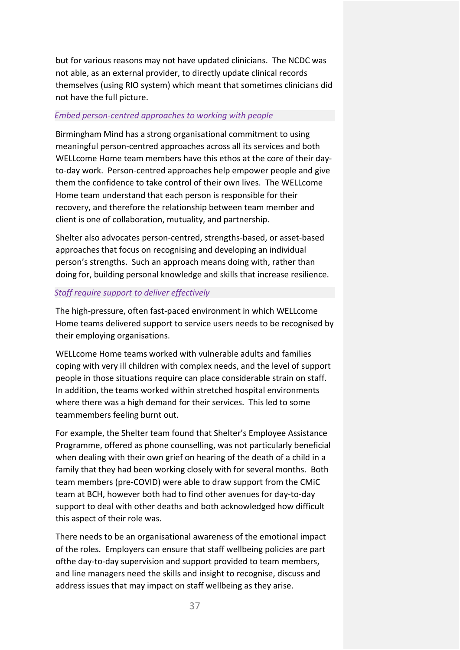but for various reasons may not have updated clinicians. The NCDC was not able, as an external provider, to directly update clinical records themselves (using RIO system) which meant that sometimes clinicians did not have the full picture.

#### *Embed person-centred approaches to working with people*

Birmingham Mind has a strong organisational commitment to using meaningful person-centred approaches across all its services and both WELLcome Home team members have this ethos at the core of their dayto-day work. Person-centred approaches help empower people and give them the confidence to take control of their own lives. The WELLcome Home team understand that each person is responsible for their recovery, and therefore the relationship between team member and client is one of collaboration, mutuality, and partnership.

Shelter also advocates person-centred, strengths-based, or asset-based approaches that focus on recognising and developing an individual person's strengths. Such an approach means doing with, rather than doing for, building personal knowledge and skills that increase resilience.

#### *Staff require support to deliver effectively*

The high-pressure, often fast-paced environment in which WELLcome Home teams delivered support to service users needs to be recognised by their employing organisations.

WELLcome Home teams worked with vulnerable adults and families coping with very ill children with complex needs, and the level of support people in those situations require can place considerable strain on staff. In addition, the teams worked within stretched hospital environments where there was a high demand for their services. This led to some teammembers feeling burnt out.

For example, the Shelter team found that Shelter's Employee Assistance Programme, offered as phone counselling, was not particularly beneficial when dealing with their own grief on hearing of the death of a child in a family that they had been working closely with for several months. Both team members (pre-COVID) were able to draw support from the CMiC team at BCH, however both had to find other avenues for day-to-day support to deal with other deaths and both acknowledged how difficult this aspect of their role was.

There needs to be an organisational awareness of the emotional impact of the roles. Employers can ensure that staff wellbeing policies are part ofthe day-to-day supervision and support provided to team members, and line managers need the skills and insight to recognise, discuss and address issues that may impact on staff wellbeing as they arise.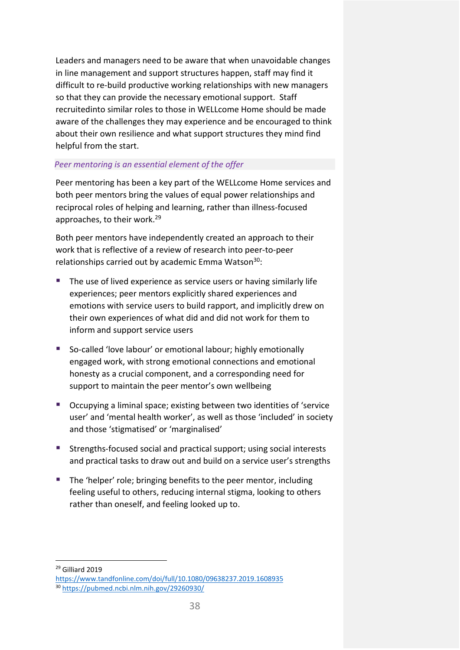Leaders and managers need to be aware that when unavoidable changes in line management and support structures happen, staff may find it difficult to re-build productive working relationships with new managers so that they can provide the necessary emotional support. Staff recruitedinto similar roles to those in WELLcome Home should be made aware of the challenges they may experience and be encouraged to think about their own resilience and what support structures they mind find helpful from the start.

#### *Peer mentoring is an essential element of the offer*

Peer mentoring has been a key part of the WELLcome Home services and both peer mentors bring the values of equal power relationships and reciprocal roles of helping and learning, rather than illness-focused approaches, to their work.29

Both peer mentors have independently created an approach to their work that is reflective of a review of research into peer-to-peer relationships carried out by academic Emma Watson<sup>30</sup>:

- **The use of lived experience as service users or having similarly life** experiences; peer mentors explicitly shared experiences and emotions with service users to build rapport, and implicitly drew on their own experiences of what did and did not work for them to inform and support service users
- So-called 'love labour' or emotional labour; highly emotionally engaged work, with strong emotional connections and emotional honesty as a crucial component, and a corresponding need for support to maintain the peer mentor's own wellbeing
- Occupying a liminal space; existing between two identities of 'service user' and 'mental health worker', as well as those 'included' in society and those 'stigmatised' or 'marginalised'
- Strengths-focused social and practical support; using social interests and practical tasks to draw out and build on a service user's strengths
- The 'helper' role; bringing benefits to the peer mentor, including feeling useful to others, reducing internal stigma, looking to others rather than oneself, and feeling looked up to.

<sup>29</sup> Gilliard 2019

<https://www.tandfonline.com/doi/full/10.1080/09638237.2019.1608935> <sup>30</sup> <https://pubmed.ncbi.nlm.nih.gov/29260930/>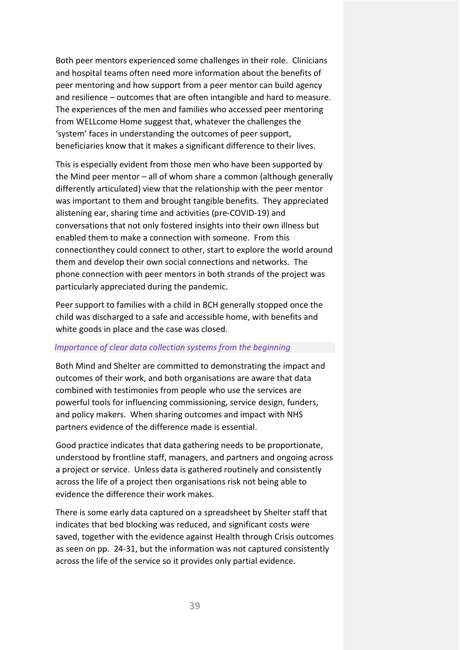Both peer mentors experienced some challenges in their role. Clinicians and hospital teams often need more information about the benefits of peer mentoring and how support from a peer mentor can build agency and resilience – outcomes that are often intangible and hard to measure. The experiences of the men and families who accessed peer mentoring from WELLcome Home suggest that, whatever the challenges the 'system' faces in understanding the outcomes of peer support, beneficiaries know that it makes a significant difference to their lives.

This is especially evident from those men who have been supported by the Mind peer mentor – all of whom share a common (although generally differently articulated) view that the relationship with the peer mentor was important to them and brought tangible benefits. They appreciated alistening ear, sharing time and activities (pre-COVID-19) and conversations that not only fostered insights into their own illness but enabled them to make a connection with someone. From this connectionthey could connect to other, start to explore the world around them and develop their own social connections and networks. The phone connection with peer mentors in both strands of the project was particularly appreciated during the pandemic.

Peer support to families with a child in BCH generally stopped once the child was discharged to a safe and accessible home, with benefits and white goods in place and the case was closed.

#### *Importance of clear data collection systems from the beginning*

Both Mind and Shelter are committed to demonstrating the impact and outcomes of their work, and both organisations are aware that data combined with testimonies from people who use the services are powerful tools for influencing commissioning, service design, funders, and policy makers. When sharing outcomes and impact with NHS partners evidence of the difference made is essential.

Good practice indicates that data gathering needs to be proportionate, understood by frontline staff, managers, and partners and ongoing across a project or service. Unless data is gathered routinely and consistently across the life of a project then organisations risk not being able to evidence the difference their work makes.

There is some early data captured on a spreadsheet by Shelter staff that indicates that bed blocking was reduced, and significant costs were saved, together with the evidence against Health through Crisis outcomes as seen on pp. 24-31, but the information was not captured consistently across the life of the service so it provides only partial evidence.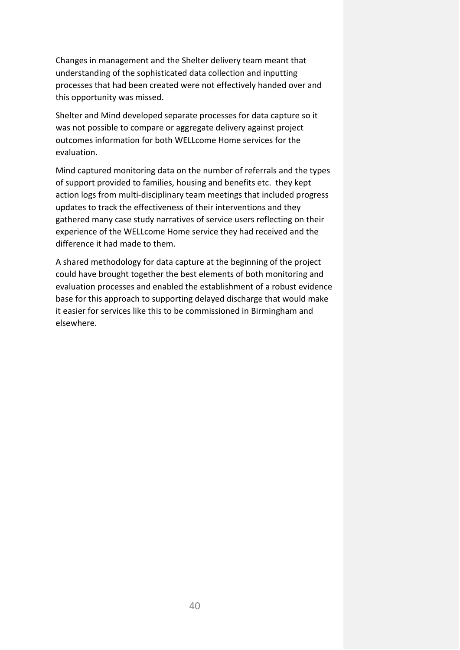Changes in management and the Shelter delivery team meant that understanding of the sophisticated data collection and inputting processes that had been created were not effectively handed over and this opportunity was missed.

Shelter and Mind developed separate processes for data capture so it was not possible to compare or aggregate delivery against project outcomes information for both WELLcome Home services for the evaluation.

Mind captured monitoring data on the number of referrals and the types of support provided to families, housing and benefits etc. they kept action logs from multi-disciplinary team meetings that included progress updates to track the effectiveness of their interventions and they gathered many case study narratives of service users reflecting on their experience of the WELLcome Home service they had received and the difference it had made to them.

A shared methodology for data capture at the beginning of the project could have brought together the best elements of both monitoring and evaluation processes and enabled the establishment of a robust evidence base for this approach to supporting delayed discharge that would make it easier for services like this to be commissioned in Birmingham and elsewhere.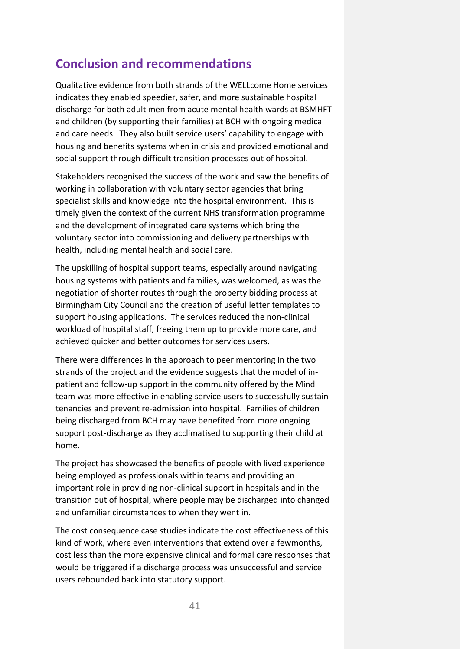# <span id="page-42-0"></span>**Conclusion and recommendations**

Qualitative evidence from both strands of the WELLcome Home services indicates they enabled speedier, safer, and more sustainable hospital discharge for both adult men from acute mental health wards at BSMHFT and children (by supporting their families) at BCH with ongoing medical and care needs. They also built service users' capability to engage with housing and benefits systems when in crisis and provided emotional and social support through difficult transition processes out of hospital.

Stakeholders recognised the success of the work and saw the benefits of working in collaboration with voluntary sector agencies that bring specialist skills and knowledge into the hospital environment. This is timely given the context of the current NHS transformation programme and the development of integrated care systems which bring the voluntary sector into commissioning and delivery partnerships with health, including mental health and social care.

The upskilling of hospital support teams, especially around navigating housing systems with patients and families, was welcomed, as was the negotiation of shorter routes through the property bidding process at Birmingham City Council and the creation of useful letter templates to support housing applications. The services reduced the non-clinical workload of hospital staff, freeing them up to provide more care, and achieved quicker and better outcomes for services users.

There were differences in the approach to peer mentoring in the two strands of the project and the evidence suggests that the model of inpatient and follow-up support in the community offered by the Mind team was more effective in enabling service users to successfully sustain tenancies and prevent re-admission into hospital. Families of children being discharged from BCH may have benefited from more ongoing support post-discharge as they acclimatised to supporting their child at home.

The project has showcased the benefits of people with lived experience being employed as professionals within teams and providing an important role in providing non-clinical support in hospitals and in the transition out of hospital, where people may be discharged into changed and unfamiliar circumstances to when they went in.

The cost consequence case studies indicate the cost effectiveness of this kind of work, where even interventions that extend over a fewmonths, cost less than the more expensive clinical and formal care responses that would be triggered if a discharge process was unsuccessful and service users rebounded back into statutory support.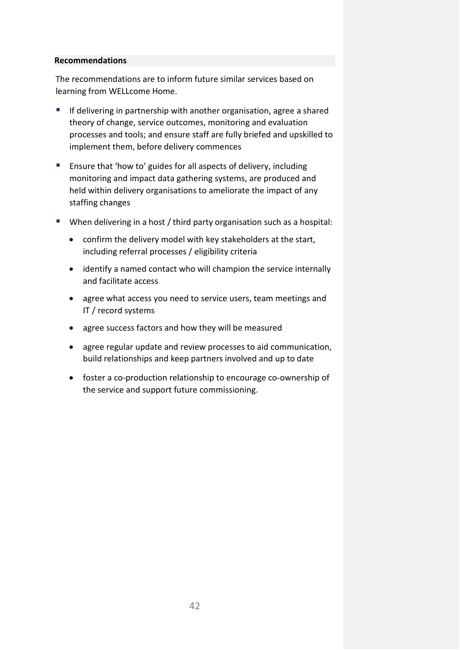#### **Recommendations**

The recommendations are to inform future similar services based on learning from WELLcome Home.

- **If delivering in partnership with another organisation, agree a shared** theory of change, service outcomes, monitoring and evaluation processes and tools; and ensure staff are fully briefed and upskilled to implement them, before delivery commences
- Ensure that 'how to' guides for all aspects of delivery, including monitoring and impact data gathering systems, are produced and held within delivery organisations to ameliorate the impact of any staffing changes
- When delivering in a host / third party organisation such as a hospital:
	- confirm the delivery model with key stakeholders at the start, including referral processes / eligibility criteria
	- identify a named contact who will champion the service internally and facilitate access
	- agree what access you need to service users, team meetings and IT / record systems
	- agree success factors and how they will be measured
	- agree regular update and review processes to aid communication, build relationships and keep partners involved and up to date
	- foster a co-production relationship to encourage co-ownership of the service and support future commissioning.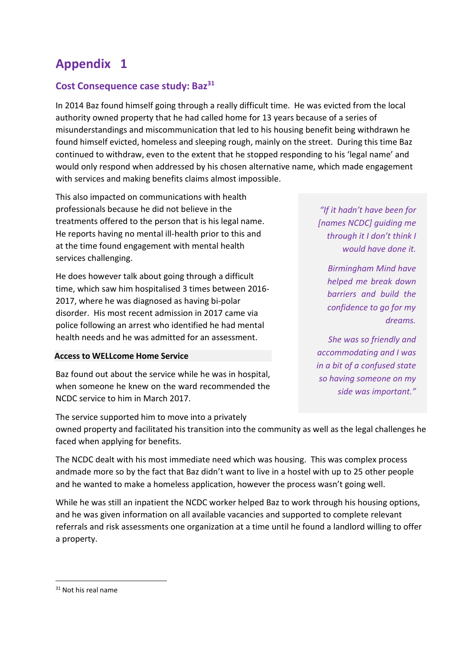# **Appendix 1**

# **Cost Consequence case study: Baz31**

In 2014 Baz found himself going through a really difficult time. He was evicted from the local authority owned property that he had called home for 13 years because of a series of misunderstandings and miscommunication that led to his housing benefit being withdrawn he found himself evicted, homeless and sleeping rough, mainly on the street. During this time Baz continued to withdraw, even to the extent that he stopped responding to his 'legal name' and would only respond when addressed by his chosen alternative name, which made engagement with services and making benefits claims almost impossible.

This also impacted on communications with health professionals because he did not believe in the treatments offered to the person that is his legal name. He reports having no mental ill-health prior to this and at the time found engagement with mental health services challenging.

He does however talk about going through a difficult time, which saw him hospitalised 3 times between 2016- 2017, where he was diagnosed as having bi-polar disorder. His most recent admission in 2017 came via police following an arrest who identified he had mental health needs and he was admitted for an assessment.

#### **Access to WELLcome Home Service**

Baz found out about the service while he was in hospital, when someone he knew on the ward recommended the NCDC service to him in March 2017.

The service supported him to move into a privately

*"If it hadn't have been for [names NCDC] guiding me through it I don't think I would have done it.*

*Birmingham Mind have helped me break down barriers and build the confidence to go for my dreams.*

*She was so friendly and accommodating and I was in a bit of a confused state so having someone on my side was important."*

owned property and facilitated his transition into the community as well as the legal challenges he faced when applying for benefits.

The NCDC dealt with his most immediate need which was housing. This was complex process andmade more so by the fact that Baz didn't want to live in a hostel with up to 25 other people and he wanted to make a homeless application, however the process wasn't going well.

While he was still an inpatient the NCDC worker helped Baz to work through his housing options, and he was given information on all available vacancies and supported to complete relevant referrals and risk assessments one organization at a time until he found a landlord willing to offer a property.

<sup>&</sup>lt;sup>31</sup> Not his real name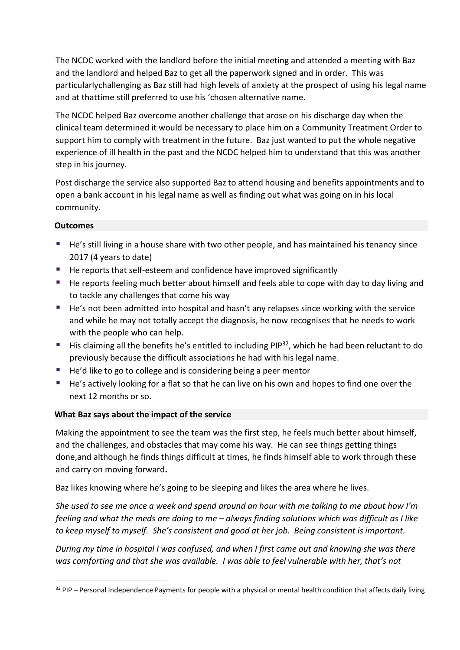The NCDC worked with the landlord before the initial meeting and attended a meeting with Baz and the landlord and helped Baz to get all the paperwork signed and in order. This was particularlychallenging as Baz still had high levels of anxiety at the prospect of using his legal name and at thattime still preferred to use his 'chosen alternative name.

The NCDC helped Baz overcome another challenge that arose on his discharge day when the clinical team determined it would be necessary to place him on a Community Treatment Order to support him to comply with treatment in the future. Baz just wanted to put the whole negative experience of ill health in the past and the NCDC helped him to understand that this was another step in his journey.

Post discharge the service also supported Baz to attend housing and benefits appointments and to open a bank account in his legal name as well as finding out what was going on in his local community.

## **Outcomes**

- **He's still living in a house share with two other people, and has maintained his tenancy since** 2017 (4 years to date)
- He reports that self-esteem and confidence have improved significantly
- He reports feeling much better about himself and feels able to cope with day to day living and to tackle any challenges that come his way
- He's not been admitted into hospital and hasn't any relapses since working with the service and while he may not totally accept the diagnosis, he now recognises that he needs to work with the people who can help.
- $\blacksquare$  His claiming all the benefits he's entitled to including PIP<sup>32</sup>, which he had been reluctant to do previously because the difficult associations he had with his legal name.
- He'd like to go to college and is considering being a peer mentor
- He's actively looking for a flat so that he can live on his own and hopes to find one over the next 12 months or so.

## **What Baz says about the impact of the service**

Making the appointment to see the team was the first step, he feels much better about himself, and the challenges, and obstacles that may come his way. He can see things getting things done,and although he finds things difficult at times, he finds himself able to work through these and carry on moving forward**.**

Baz likes knowing where he's going to be sleeping and likes the area where he lives.

*She used to see me once a week and spend around an hour with me talking to me about how I'm feeling and what the meds are doing to me – always finding solutions which was difficult as I like to keep myself to myself. She's consistent and good at her job. Being consistent is important.*

*During my time in hospital I was confused, and when I first came out and knowing she was there was comforting and that she was available. I was able to feel vulnerable with her, that's not*

 $32$  PIP – Personal Independence Payments for people with a physical or mental health condition that affects daily living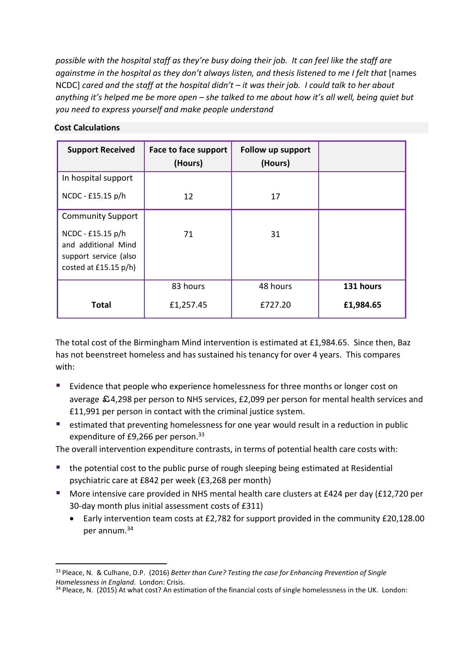*possible with the hospital staff as they're busy doing their job. It can feel like the staff are againstme in the hospital as they don't always listen, and thesis listened to me I felt that* [names NCDC] *cared and the staff at the hospital didn't – it was their job. I could talk to her about anything it's helped me be more open – she talked to me about how it's all well, being quiet but you need to express yourself and make people understand*

#### **Cost Calculations**

| <b>Support Received</b>                                                                      | Face to face support<br>(Hours) | Follow up support<br>(Hours) |           |
|----------------------------------------------------------------------------------------------|---------------------------------|------------------------------|-----------|
| In hospital support                                                                          |                                 |                              |           |
| NCDC - £15.15 p/h                                                                            | 12                              | 17                           |           |
| <b>Community Support</b>                                                                     |                                 |                              |           |
| NCDC - £15.15 p/h<br>and additional Mind<br>support service (also<br>costed at $£15.15 p/h)$ | 71                              | 31                           |           |
|                                                                                              | 83 hours                        | 48 hours                     | 131 hours |
| <b>Total</b>                                                                                 | £1,257.45                       | £727.20                      | £1,984.65 |

The total cost of the Birmingham Mind intervention is estimated at £1,984.65. Since then, Baz has not beenstreet homeless and has sustained his tenancy for over 4 years. This compares with:

- **Exidence that people who experience homelessness for three months or longer cost on** average £4,298 per person to NHS services, £2,099 per person for mental health services and £11,991 per person in contact with the criminal justice system.
- estimated that preventing homelessness for one year would result in a reduction in public expenditure of £9,266 per person.<sup>33</sup>

The overall intervention expenditure contrasts, in terms of potential health care costs with:

- the potential cost to the public purse of rough sleeping being estimated at Residential psychiatric care at £842 per week (£3,268 per month)
- More intensive care provided in NHS mental health care clusters at £424 per day (£12,720 per 30-day month plus initial assessment costs of £311)
	- Early intervention team costs at £2,782 for support provided in the community £20,128.00 per annum. 34

<sup>33</sup> Pleace, N. & Culhane, D.P. (2016) *Better than Cure? Testing the case for Enhancing Prevention of Single Homelessness in England*. London: Crisis.

<sup>&</sup>lt;sup>34</sup> Pleace, N. (2015) At what cost? An estimation of the financial costs of single homelessness in the UK. London: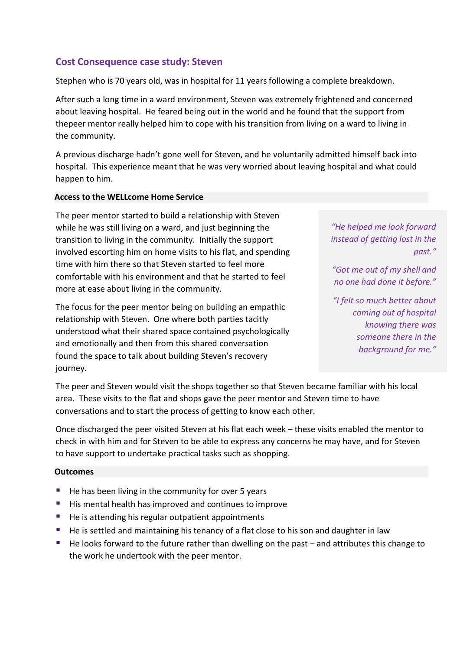## **Cost Consequence case study: Steven**

Stephen who is 70 years old, was in hospital for 11 years following a complete breakdown.

After such a long time in a ward environment, Steven was extremely frightened and concerned about leaving hospital. He feared being out in the world and he found that the support from thepeer mentor really helped him to cope with his transition from living on a ward to living in the community.

A previous discharge hadn't gone well for Steven, and he voluntarily admitted himself back into hospital. This experience meant that he was very worried about leaving hospital and what could happen to him.

#### **Access to the WELLcome Home Service**

The peer mentor started to build a relationship with Steven while he was still living on a ward, and just beginning the transition to living in the community. Initially the support involved escorting him on home visits to his flat, and spending time with him there so that Steven started to feel more comfortable with his environment and that he started to feel more at ease about living in the community.

The focus for the peer mentor being on building an empathic relationship with Steven. One where both parties tacitly understood what their shared space contained psychologically and emotionally and then from this shared conversation found the space to talk about building Steven's recovery journey.

*"He helped me look forward instead of getting lost in the past."*

*"Got me out of my shell and no one had done it before."*

*"I felt so much better about coming out of hospital knowing there was someone there in the background for me."*

The peer and Steven would visit the shops together so that Steven became familiar with his local area. These visits to the flat and shops gave the peer mentor and Steven time to have conversations and to start the process of getting to know each other.

Once discharged the peer visited Steven at his flat each week – these visits enabled the mentor to check in with him and for Steven to be able to express any concerns he may have, and for Steven to have support to undertake practical tasks such as shopping.

#### **Outcomes**

- He has been living in the community for over 5 years
- His mental health has improved and continues to improve
- He is attending his regular outpatient appointments
- He is settled and maintaining his tenancy of a flat close to his son and daughter in law
- He looks forward to the future rather than dwelling on the past and attributes this change to the work he undertook with the peer mentor.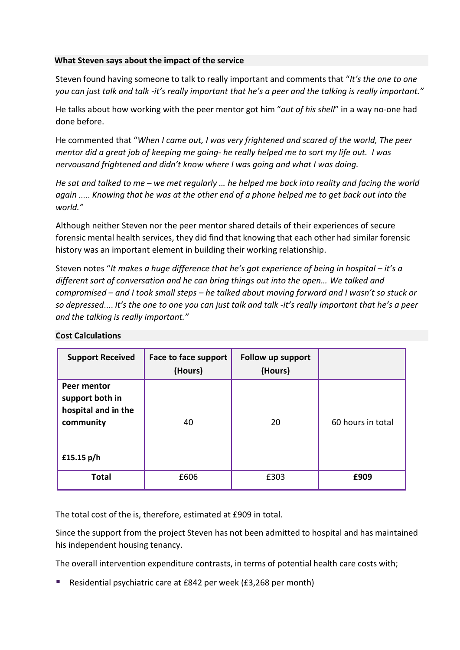#### **What Steven says about the impact of the service**

Steven found having someone to talk to really important and comments that "*It's the one to one* you can just talk and talk -it's really important that he's a peer and the talking is really important."

He talks about how working with the peer mentor got him "*out of his shell*" in a way no-one had done before.

He commented that "*When I came out, I was very frightened and scared of the world, The peer mentor did a great job of keeping me going- he really helped me to sort my life out. I was nervousand frightened and didn't know where I was going and what I was doing.*

He sat and talked to me – we met regularly ... he helped me back into reality and facing the world *again ..... Knowing that he was at the other end of a phone helped me to get back out into the world."*

Although neither Steven nor the peer mentor shared details of their experiences of secure forensic mental health services, they did find that knowing that each other had similar forensic history was an important element in building their working relationship.

Steven notes "*It makes a huge difference that he's got experience of being in hospital – it's a different sort of conversation and he can bring things out into the open… We talked and compromised – and I took small steps – he talked about moving forward and I wasn't so stuck or so depressed.... It's the one to one you can just talk and talk -it's really important that he's a peer and the talking is really important."*

| <b>Support Received</b>                                                            | Face to face support<br>(Hours) | Follow up support<br>(Hours) |                   |
|------------------------------------------------------------------------------------|---------------------------------|------------------------------|-------------------|
| Peer mentor<br>support both in<br>hospital and in the<br>community<br>£15.15 $p/h$ | 40                              | 20                           | 60 hours in total |
| <b>Total</b>                                                                       | £606                            | £303                         | £909              |

#### **Cost Calculations**

The total cost of the is, therefore, estimated at £909 in total.

Since the support from the project Steven has not been admitted to hospital and has maintained his independent housing tenancy.

The overall intervention expenditure contrasts, in terms of potential health care costs with;

■ Residential psychiatric care at £842 per week (£3,268 per month)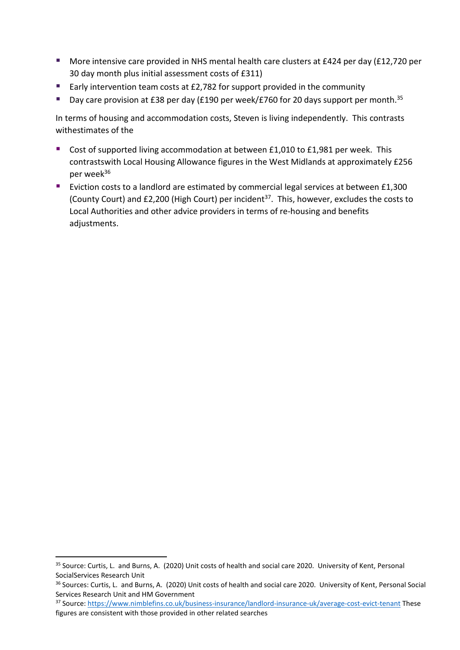- More intensive care provided in NHS mental health care clusters at £424 per day (£12,720 per 30 day month plus initial assessment costs of £311)
- Early intervention team costs at £2,782 for support provided in the community
- Day care provision at £38 per day (£190 per week/£760 for 20 days support per month.<sup>35</sup>

In terms of housing and accommodation costs, Steven is living independently. This contrasts withestimates of the

- Cost of supported living accommodation at between £1,010 to £1,981 per week. This contrastswith Local Housing Allowance figures in the West Midlands at approximately £256 per week<sup>36</sup>
- Eviction costs to a landlord are estimated by commercial legal services at between £1,300 (County Court) and £2,200 (High Court) per incident<sup>37</sup>. This, however, excludes the costs to Local Authorities and other advice providers in terms of re-housing and benefits adjustments.

<sup>35</sup> Source: Curtis, L. and Burns, A. (2020) Unit costs of health and social care 2020. University of Kent, Personal SocialServices Research Unit

<sup>36</sup> Sources: Curtis, L. and Burns, A. (2020) Unit costs of health and social care 2020. University of Kent, Personal Social Services Research Unit and HM Government

<sup>37</sup> Source[: https://www.nimblefins.co.uk/business-insurance/landlord-insurance-uk/average-cost-evict-tenant](https://www.nimblefins.co.uk/business-insurance/landlord-insurance-uk/average-cost-evict-tenant) These figures are consistent with those provided in other related searches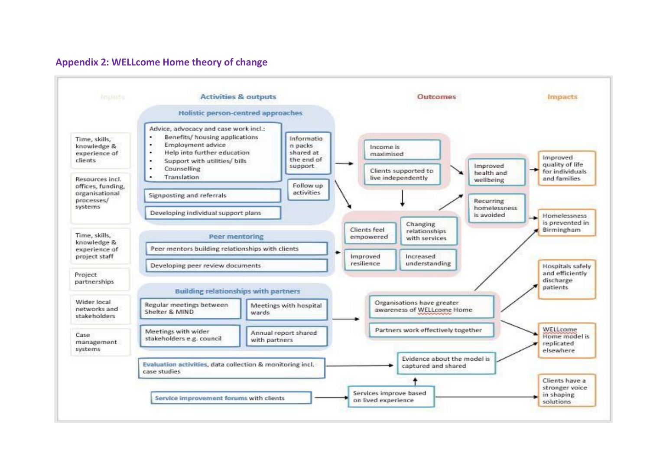

#### **Appendix 2: WELLcome Home theory of change**